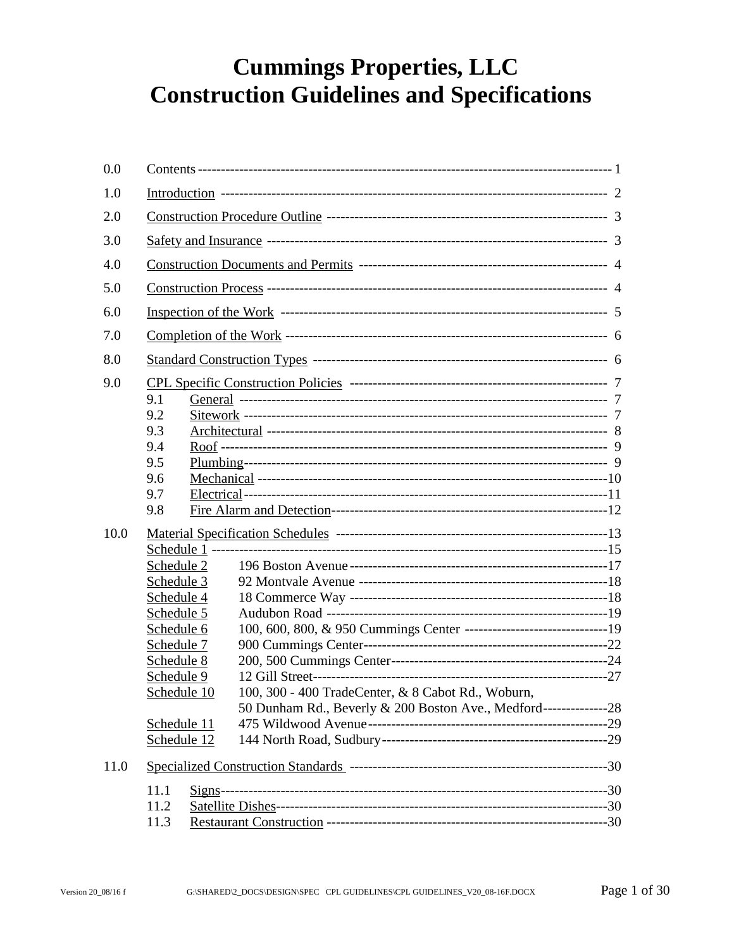# **Cummings Properties, LLC Construction Guidelines and Specifications**

| 0.0         |                                                                                                                                                                      |                                                                                                                                         |  |
|-------------|----------------------------------------------------------------------------------------------------------------------------------------------------------------------|-----------------------------------------------------------------------------------------------------------------------------------------|--|
| 1.0         |                                                                                                                                                                      |                                                                                                                                         |  |
| 2.0         |                                                                                                                                                                      |                                                                                                                                         |  |
| 3.0         |                                                                                                                                                                      |                                                                                                                                         |  |
| 4.0         |                                                                                                                                                                      |                                                                                                                                         |  |
| 5.0         |                                                                                                                                                                      |                                                                                                                                         |  |
| 6.0         |                                                                                                                                                                      |                                                                                                                                         |  |
| 7.0         |                                                                                                                                                                      |                                                                                                                                         |  |
| 8.0         |                                                                                                                                                                      |                                                                                                                                         |  |
| 9.0<br>10.0 | 9.1<br>9.2<br>9.3<br>9.4<br>9.5<br>9.6<br>9.7<br>9.8<br>Schedule 2<br>Schedule 3<br>Schedule 4<br>Schedule 5<br>Schedule 6<br>Schedule 7<br>Schedule 8<br>Schedule 9 |                                                                                                                                         |  |
| 11.0        | Schedule 10<br>Schedule 11<br>Schedule 12<br>11.1<br>11.2<br>11.3                                                                                                    | 100, 300 - 400 TradeCenter, & 8 Cabot Rd., Woburn,<br>50 Dunham Rd., Beverly & 200 Boston Ave., Medford-------------------------------- |  |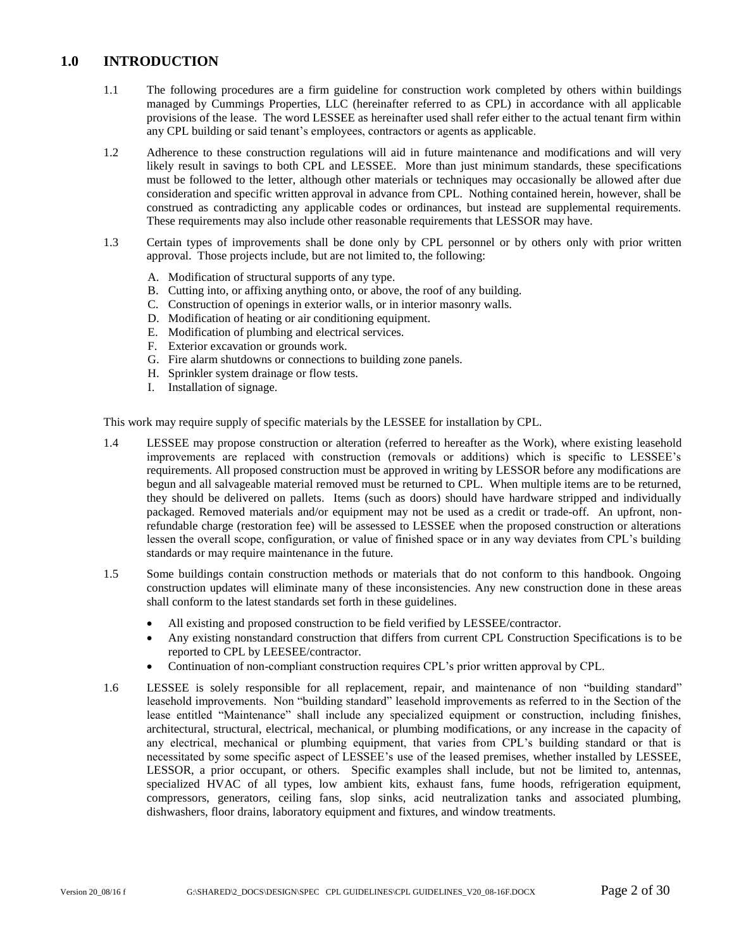### <span id="page-1-0"></span>**1.0 INTRODUCTION**

- 1.1 The following procedures are a firm guideline for construction work completed by others within buildings managed by Cummings Properties, LLC (hereinafter referred to as CPL) in accordance with all applicable provisions of the lease. The word LESSEE as hereinafter used shall refer either to the actual tenant firm within any CPL building or said tenant's employees, contractors or agents as applicable.
- 1.2 Adherence to these construction regulations will aid in future maintenance and modifications and will very likely result in savings to both CPL and LESSEE. More than just minimum standards, these specifications must be followed to the letter, although other materials or techniques may occasionally be allowed after due consideration and specific written approval in advance from CPL. Nothing contained herein, however, shall be construed as contradicting any applicable codes or ordinances, but instead are supplemental requirements. These requirements may also include other reasonable requirements that LESSOR may have.
- 1.3 Certain types of improvements shall be done only by CPL personnel or by others only with prior written approval. Those projects include, but are not limited to, the following:
	- A. Modification of structural supports of any type.
	- B. Cutting into, or affixing anything onto, or above, the roof of any building.
	- C. Construction of openings in exterior walls, or in interior masonry walls.
	- D. Modification of heating or air conditioning equipment.
	- E. Modification of plumbing and electrical services.
	- F. Exterior excavation or grounds work.
	- G. Fire alarm shutdowns or connections to building zone panels.
	- H. Sprinkler system drainage or flow tests.
	- I. Installation of signage.

This work may require supply of specific materials by the LESSEE for installation by CPL.

- 1.4 LESSEE may propose construction or alteration (referred to hereafter as the Work), where existing leasehold improvements are replaced with construction (removals or additions) which is specific to LESSEE's requirements. All proposed construction must be approved in writing by LESSOR before any modifications are begun and all salvageable material removed must be returned to CPL. When multiple items are to be returned, they should be delivered on pallets. Items (such as doors) should have hardware stripped and individually packaged. Removed materials and/or equipment may not be used as a credit or trade-off. An upfront, nonrefundable charge (restoration fee) will be assessed to LESSEE when the proposed construction or alterations lessen the overall scope, configuration, or value of finished space or in any way deviates from CPL's building standards or may require maintenance in the future.
- 1.5 Some buildings contain construction methods or materials that do not conform to this handbook. Ongoing construction updates will eliminate many of these inconsistencies. Any new construction done in these areas shall conform to the latest standards set forth in these guidelines.
	- All existing and proposed construction to be field verified by LESSEE/contractor.
	- Any existing nonstandard construction that differs from current CPL Construction Specifications is to be reported to CPL by LEESEE/contractor.
	- Continuation of non-compliant construction requires CPL's prior written approval by CPL.
- 1.6 LESSEE is solely responsible for all replacement, repair, and maintenance of non "building standard" leasehold improvements. Non "building standard" leasehold improvements as referred to in the Section of the lease entitled "Maintenance" shall include any specialized equipment or construction, including finishes, architectural, structural, electrical, mechanical, or plumbing modifications, or any increase in the capacity of any electrical, mechanical or plumbing equipment, that varies from CPL's building standard or that is necessitated by some specific aspect of LESSEE's use of the leased premises, whether installed by LESSEE, LESSOR, a prior occupant, or others. Specific examples shall include, but not be limited to, antennas, specialized HVAC of all types, low ambient kits, exhaust fans, fume hoods, refrigeration equipment, compressors, generators, ceiling fans, slop sinks, acid neutralization tanks and associated plumbing, dishwashers, floor drains, laboratory equipment and fixtures, and window treatments.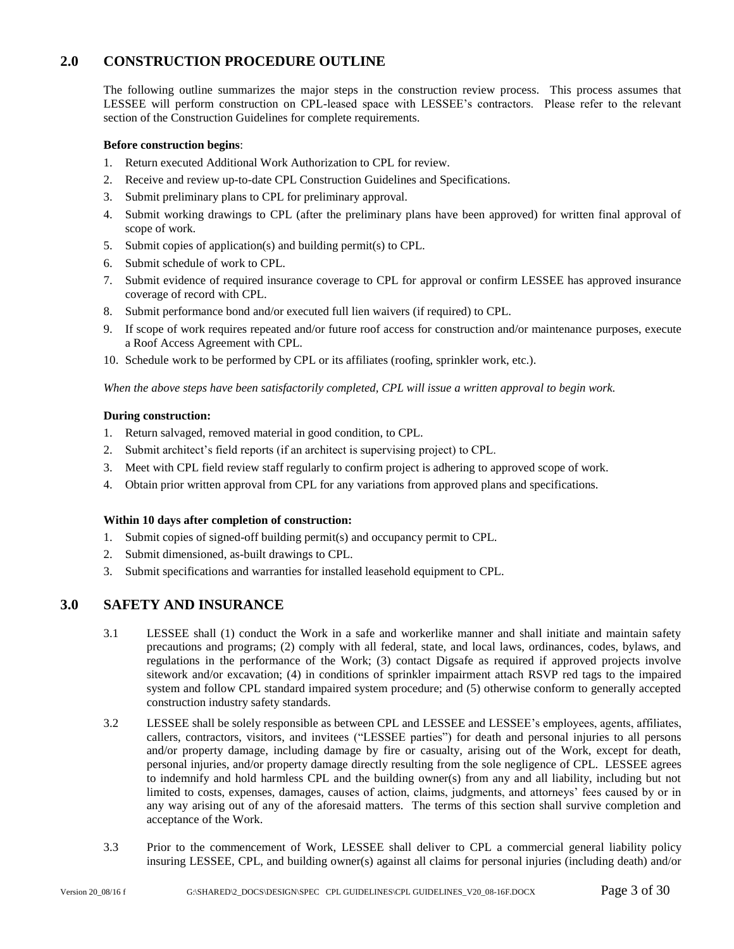# **2.0 CONSTRUCTION PROCEDURE OUTLINE**

<span id="page-2-0"></span>The following outline summarizes the major steps in the construction review process. This process assumes that LESSEE will perform construction on CPL-leased space with LESSEE's contractors. Please refer to the relevant section of the Construction Guidelines for complete requirements.

#### **Before construction begins**:

- 1. Return executed Additional Work Authorization to CPL for review.
- 2. Receive and review up-to-date CPL Construction Guidelines and Specifications.
- 3. Submit preliminary plans to CPL for preliminary approval.
- 4. Submit working drawings to CPL (after the preliminary plans have been approved) for written final approval of scope of work.
- 5. Submit copies of application(s) and building permit(s) to CPL.
- 6. Submit schedule of work to CPL.
- 7. Submit evidence of required insurance coverage to CPL for approval or confirm LESSEE has approved insurance coverage of record with CPL.
- 8. Submit performance bond and/or executed full lien waivers (if required) to CPL.
- 9. If scope of work requires repeated and/or future roof access for construction and/or maintenance purposes, execute a Roof Access Agreement with CPL.
- 10. Schedule work to be performed by CPL or its affiliates (roofing, sprinkler work, etc.).

*When the above steps have been satisfactorily completed, CPL will issue a written approval to begin work.*

#### **During construction:**

- 1. Return salvaged, removed material in good condition, to CPL.
- 2. Submit architect's field reports (if an architect is supervising project) to CPL.
- 3. Meet with CPL field review staff regularly to confirm project is adhering to approved scope of work.
- 4. Obtain prior written approval from CPL for any variations from approved plans and specifications.

#### **Within 10 days after completion of construction:**

- 1. Submit copies of signed-off building permit(s) and occupancy permit to CPL.
- 2. Submit dimensioned, as-built drawings to CPL.
- <span id="page-2-1"></span>3. Submit specifications and warranties for installed leasehold equipment to CPL.

#### **3.0 SAFETY AND INSURANCE**

- 3.1 LESSEE shall (1) conduct the Work in a safe and workerlike manner and shall initiate and maintain safety precautions and programs; (2) comply with all federal, state, and local laws, ordinances, codes, bylaws, and regulations in the performance of the Work; (3) contact Digsafe as required if approved projects involve sitework and/or excavation; (4) in conditions of sprinkler impairment attach RSVP red tags to the impaired system and follow CPL standard impaired system procedure; and (5) otherwise conform to generally accepted construction industry safety standards.
- 3.2 LESSEE shall be solely responsible as between CPL and LESSEE and LESSEE's employees, agents, affiliates, callers, contractors, visitors, and invitees ("LESSEE parties") for death and personal injuries to all persons and/or property damage, including damage by fire or casualty, arising out of the Work, except for death, personal injuries, and/or property damage directly resulting from the sole negligence of CPL. LESSEE agrees to indemnify and hold harmless CPL and the building owner(s) from any and all liability, including but not limited to costs, expenses, damages, causes of action, claims, judgments, and attorneys' fees caused by or in any way arising out of any of the aforesaid matters. The terms of this section shall survive completion and acceptance of the Work.
- 3.3 Prior to the commencement of Work, LESSEE shall deliver to CPL a commercial general liability policy insuring LESSEE, CPL, and building owner(s) against all claims for personal injuries (including death) and/or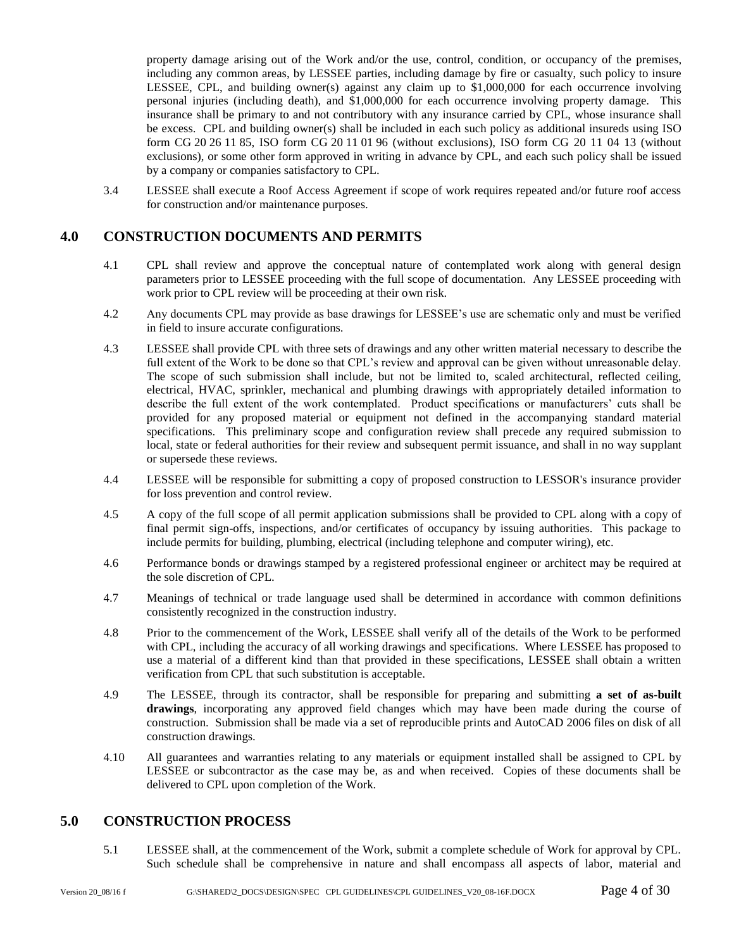property damage arising out of the Work and/or the use, control, condition, or occupancy of the premises, including any common areas, by LESSEE parties, including damage by fire or casualty, such policy to insure LESSEE, CPL, and building owner(s) against any claim up to \$1,000,000 for each occurrence involving personal injuries (including death), and \$1,000,000 for each occurrence involving property damage. This insurance shall be primary to and not contributory with any insurance carried by CPL, whose insurance shall be excess. CPL and building owner(s) shall be included in each such policy as additional insureds using ISO form CG 20 26 11 85, ISO form CG 20 11 01 96 (without exclusions), ISO form CG 20 11 04 13 (without exclusions), or some other form approved in writing in advance by CPL, and each such policy shall be issued by a company or companies satisfactory to CPL.

3.4 LESSEE shall execute a Roof Access Agreement if scope of work requires repeated and/or future roof access for construction and/or maintenance purposes.

## <span id="page-3-0"></span>**4.0 CONSTRUCTION DOCUMENTS AND PERMITS**

- 4.1 CPL shall review and approve the conceptual nature of contemplated work along with general design parameters prior to LESSEE proceeding with the full scope of documentation. Any LESSEE proceeding with work prior to CPL review will be proceeding at their own risk.
- 4.2 Any documents CPL may provide as base drawings for LESSEE's use are schematic only and must be verified in field to insure accurate configurations.
- 4.3 LESSEE shall provide CPL with three sets of drawings and any other written material necessary to describe the full extent of the Work to be done so that CPL's review and approval can be given without unreasonable delay. The scope of such submission shall include, but not be limited to, scaled architectural, reflected ceiling, electrical, HVAC, sprinkler, mechanical and plumbing drawings with appropriately detailed information to describe the full extent of the work contemplated. Product specifications or manufacturers' cuts shall be provided for any proposed material or equipment not defined in the accompanying standard material specifications. This preliminary scope and configuration review shall precede any required submission to local, state or federal authorities for their review and subsequent permit issuance, and shall in no way supplant or supersede these reviews.
- 4.4 LESSEE will be responsible for submitting a copy of proposed construction to LESSOR's insurance provider for loss prevention and control review.
- 4.5 A copy of the full scope of all permit application submissions shall be provided to CPL along with a copy of final permit sign-offs, inspections, and/or certificates of occupancy by issuing authorities. This package to include permits for building, plumbing, electrical (including telephone and computer wiring), etc.
- 4.6 Performance bonds or drawings stamped by a registered professional engineer or architect may be required at the sole discretion of CPL.
- 4.7 Meanings of technical or trade language used shall be determined in accordance with common definitions consistently recognized in the construction industry.
- 4.8 Prior to the commencement of the Work, LESSEE shall verify all of the details of the Work to be performed with CPL, including the accuracy of all working drawings and specifications. Where LESSEE has proposed to use a material of a different kind than that provided in these specifications, LESSEE shall obtain a written verification from CPL that such substitution is acceptable.
- 4.9 The LESSEE, through its contractor, shall be responsible for preparing and submitting **a set of as-built drawings**, incorporating any approved field changes which may have been made during the course of construction. Submission shall be made via a set of reproducible prints and AutoCAD 2006 files on disk of all construction drawings.
- 4.10 All guarantees and warranties relating to any materials or equipment installed shall be assigned to CPL by LESSEE or subcontractor as the case may be, as and when received. Copies of these documents shall be delivered to CPL upon completion of the Work.

#### <span id="page-3-1"></span>**5.0 CONSTRUCTION PROCESS**

5.1 LESSEE shall, at the commencement of the Work, submit a complete schedule of Work for approval by CPL. Such schedule shall be comprehensive in nature and shall encompass all aspects of labor, material and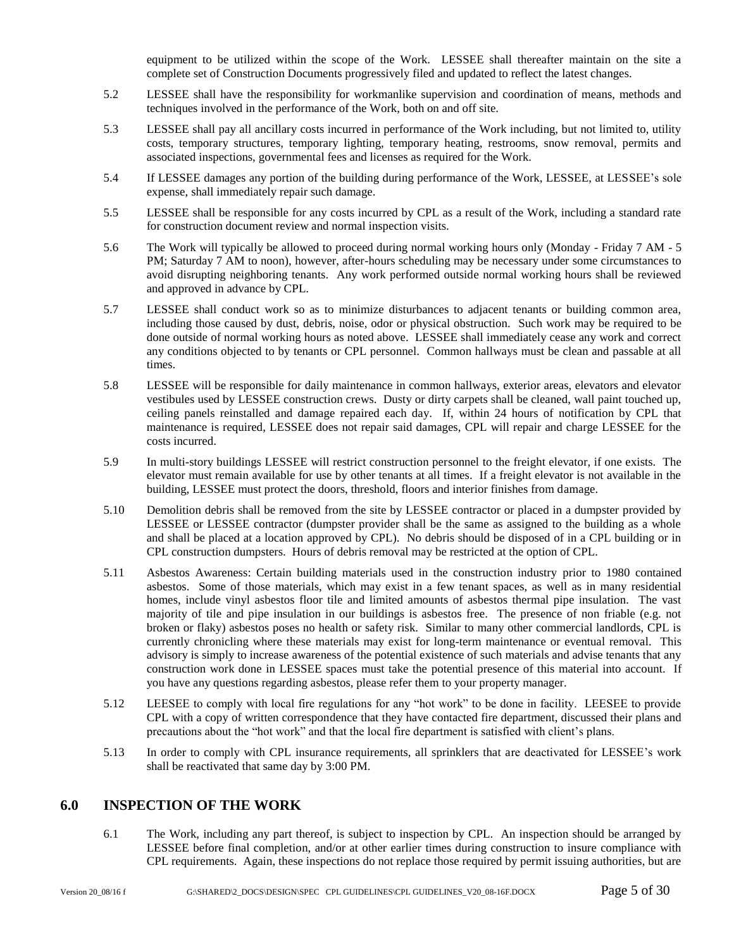equipment to be utilized within the scope of the Work. LESSEE shall thereafter maintain on the site a complete set of Construction Documents progressively filed and updated to reflect the latest changes.

- 5.2 LESSEE shall have the responsibility for workmanlike supervision and coordination of means, methods and techniques involved in the performance of the Work, both on and off site.
- 5.3 LESSEE shall pay all ancillary costs incurred in performance of the Work including, but not limited to, utility costs, temporary structures, temporary lighting, temporary heating, restrooms, snow removal, permits and associated inspections, governmental fees and licenses as required for the Work.
- 5.4 If LESSEE damages any portion of the building during performance of the Work, LESSEE, at LESSEE's sole expense, shall immediately repair such damage.
- 5.5 LESSEE shall be responsible for any costs incurred by CPL as a result of the Work, including a standard rate for construction document review and normal inspection visits.
- 5.6 The Work will typically be allowed to proceed during normal working hours only (Monday Friday 7 AM 5 PM; Saturday 7 AM to noon), however, after-hours scheduling may be necessary under some circumstances to avoid disrupting neighboring tenants. Any work performed outside normal working hours shall be reviewed and approved in advance by CPL.
- 5.7 LESSEE shall conduct work so as to minimize disturbances to adjacent tenants or building common area, including those caused by dust, debris, noise, odor or physical obstruction. Such work may be required to be done outside of normal working hours as noted above. LESSEE shall immediately cease any work and correct any conditions objected to by tenants or CPL personnel. Common hallways must be clean and passable at all times.
- 5.8 LESSEE will be responsible for daily maintenance in common hallways, exterior areas, elevators and elevator vestibules used by LESSEE construction crews. Dusty or dirty carpets shall be cleaned, wall paint touched up, ceiling panels reinstalled and damage repaired each day. If, within 24 hours of notification by CPL that maintenance is required, LESSEE does not repair said damages, CPL will repair and charge LESSEE for the costs incurred.
- 5.9 In multi-story buildings LESSEE will restrict construction personnel to the freight elevator, if one exists. The elevator must remain available for use by other tenants at all times. If a freight elevator is not available in the building, LESSEE must protect the doors, threshold, floors and interior finishes from damage.
- 5.10 Demolition debris shall be removed from the site by LESSEE contractor or placed in a dumpster provided by LESSEE or LESSEE contractor (dumpster provider shall be the same as assigned to the building as a whole and shall be placed at a location approved by CPL). No debris should be disposed of in a CPL building or in CPL construction dumpsters. Hours of debris removal may be restricted at the option of CPL.
- 5.11 Asbestos Awareness: Certain building materials used in the construction industry prior to 1980 contained asbestos. Some of those materials, which may exist in a few tenant spaces, as well as in many residential homes, include vinyl asbestos floor tile and limited amounts of asbestos thermal pipe insulation. The vast majority of tile and pipe insulation in our buildings is asbestos free. The presence of non friable (e.g. not broken or flaky) asbestos poses no health or safety risk. Similar to many other commercial landlords, CPL is currently chronicling where these materials may exist for long-term maintenance or eventual removal. This advisory is simply to increase awareness of the potential existence of such materials and advise tenants that any construction work done in LESSEE spaces must take the potential presence of this material into account. If you have any questions regarding asbestos, please refer them to your property manager.
- 5.12 LEESEE to comply with local fire regulations for any "hot work" to be done in facility. LEESEE to provide CPL with a copy of written correspondence that they have contacted fire department, discussed their plans and precautions about the "hot work" and that the local fire department is satisfied with client's plans.
- 5.13 In order to comply with CPL insurance requirements, all sprinklers that are deactivated for LESSEE's work shall be reactivated that same day by 3:00 PM.

#### <span id="page-4-0"></span>**6.0 INSPECTION OF THE WORK**

6.1 The Work, including any part thereof, is subject to inspection by CPL. An inspection should be arranged by LESSEE before final completion, and/or at other earlier times during construction to insure compliance with CPL requirements. Again, these inspections do not replace those required by permit issuing authorities, but are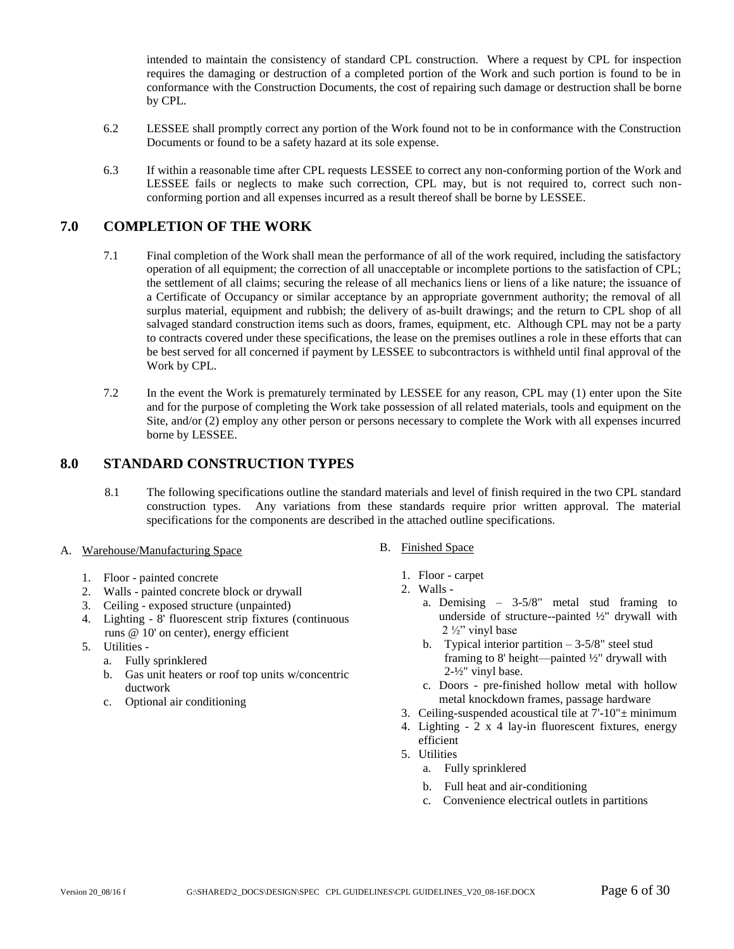intended to maintain the consistency of standard CPL construction. Where a request by CPL for inspection requires the damaging or destruction of a completed portion of the Work and such portion is found to be in conformance with the Construction Documents, the cost of repairing such damage or destruction shall be borne by CPL.

- 6.2 LESSEE shall promptly correct any portion of the Work found not to be in conformance with the Construction Documents or found to be a safety hazard at its sole expense.
- 6.3 If within a reasonable time after CPL requests LESSEE to correct any non-conforming portion of the Work and LESSEE fails or neglects to make such correction, CPL may, but is not required to, correct such nonconforming portion and all expenses incurred as a result thereof shall be borne by LESSEE.

### <span id="page-5-0"></span>**7.0 COMPLETION OF THE WORK**

- 7.1 Final completion of the Work shall mean the performance of all of the work required, including the satisfactory operation of all equipment; the correction of all unacceptable or incomplete portions to the satisfaction of CPL; the settlement of all claims; securing the release of all mechanics liens or liens of a like nature; the issuance of a Certificate of Occupancy or similar acceptance by an appropriate government authority; the removal of all surplus material, equipment and rubbish; the delivery of as-built drawings; and the return to CPL shop of all salvaged standard construction items such as doors, frames, equipment, etc. Although CPL may not be a party to contracts covered under these specifications, the lease on the premises outlines a role in these efforts that can be best served for all concerned if payment by LESSEE to subcontractors is withheld until final approval of the Work by CPL.
- 7.2 In the event the Work is prematurely terminated by LESSEE for any reason, CPL may (1) enter upon the Site and for the purpose of completing the Work take possession of all related materials, tools and equipment on the Site, and/or (2) employ any other person or persons necessary to complete the Work with all expenses incurred borne by LESSEE.

#### <span id="page-5-1"></span>**8.0 STANDARD CONSTRUCTION TYPES**

- 8.1 The following specifications outline the standard materials and level of finish required in the two CPL standard construction types. Any variations from these standards require prior written approval. The material specifications for the components are described in the attached outline specifications.
- A. Warehouse/Manufacturing Space
	- 1. Floor painted concrete
	- 2. Walls painted concrete block or drywall
	- 3. Ceiling exposed structure (unpainted)
	- 4. Lighting 8' fluorescent strip fixtures (continuous runs @ 10' on center), energy efficient
	- 5. Utilities
		- a. Fully sprinklered
		- b. Gas unit heaters or roof top units w/concentric ductwork
		- c. Optional air conditioning
- B. Finished Space
	- 1. Floor carpet
	- 2. Walls
		- a. Demising 3-5/8" metal stud framing to underside of structure--painted ½" drywall with  $2 \frac{1}{2}$ " vinyl base
		- b. Typical interior partition  $-3-5/8$ " steel stud framing to 8' height—painted ½" drywall with 2-½" vinyl base.
		- c. Doors pre-finished hollow metal with hollow metal knockdown frames, passage hardware
	- 3. Ceiling-suspended acoustical tile at  $7'-10'' \pm \text{minimum}$
	- 4. Lighting 2 x 4 lay-in fluorescent fixtures, energy efficient
	- 5. Utilities
		- a. Fully sprinklered
		- b. Full heat and air-conditioning
		- c. Convenience electrical outlets in partitions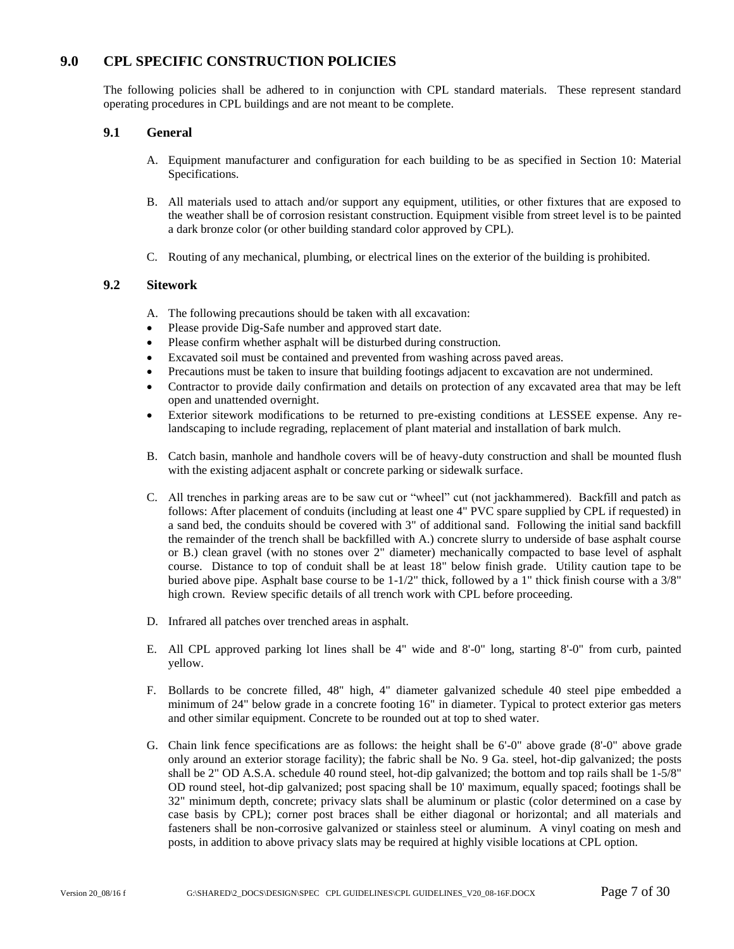# <span id="page-6-0"></span>**9.0 CPL SPECIFIC CONSTRUCTION POLICIES**

The following policies shall be adhered to in conjunction with CPL standard materials. These represent standard operating procedures in CPL buildings and are not meant to be complete.

#### **9.1 General**

- <span id="page-6-1"></span>A. Equipment manufacturer and configuration for each building to be as specified in Section 10: Material Specifications.
- B. All materials used to attach and/or support any equipment, utilities, or other fixtures that are exposed to the weather shall be of corrosion resistant construction. Equipment visible from street level is to be painted a dark bronze color (or other building standard color approved by CPL).
- C. Routing of any mechanical, plumbing, or electrical lines on the exterior of the building is prohibited.

#### <span id="page-6-2"></span>**9.2 Sitework**

- A. The following precautions should be taken with all excavation:
- Please provide Dig-Safe number and approved start date.
- Please confirm whether asphalt will be disturbed during construction.
- Excavated soil must be contained and prevented from washing across paved areas.
- Precautions must be taken to insure that building footings adjacent to excavation are not undermined.
- Contractor to provide daily confirmation and details on protection of any excavated area that may be left open and unattended overnight.
- Exterior sitework modifications to be returned to pre-existing conditions at LESSEE expense. Any relandscaping to include regrading, replacement of plant material and installation of bark mulch.
- B. Catch basin, manhole and handhole covers will be of heavy-duty construction and shall be mounted flush with the existing adjacent asphalt or concrete parking or sidewalk surface.
- C. All trenches in parking areas are to be saw cut or "wheel" cut (not jackhammered). Backfill and patch as follows: After placement of conduits (including at least one 4" PVC spare supplied by CPL if requested) in a sand bed, the conduits should be covered with 3" of additional sand. Following the initial sand backfill the remainder of the trench shall be backfilled with A.) concrete slurry to underside of base asphalt course or B.) clean gravel (with no stones over 2" diameter) mechanically compacted to base level of asphalt course. Distance to top of conduit shall be at least 18" below finish grade. Utility caution tape to be buried above pipe. Asphalt base course to be 1-1/2" thick, followed by a 1" thick finish course with a 3/8" high crown. Review specific details of all trench work with CPL before proceeding.
- D. Infrared all patches over trenched areas in asphalt.
- E. All CPL approved parking lot lines shall be 4" wide and 8'-0" long, starting 8'-0" from curb, painted yellow.
- F. Bollards to be concrete filled, 48" high, 4" diameter galvanized schedule 40 steel pipe embedded a minimum of 24" below grade in a concrete footing 16" in diameter. Typical to protect exterior gas meters and other similar equipment. Concrete to be rounded out at top to shed water.
- G. Chain link fence specifications are as follows: the height shall be 6'-0" above grade (8'-0" above grade only around an exterior storage facility); the fabric shall be No. 9 Ga. steel, hot-dip galvanized; the posts shall be 2" OD A.S.A. schedule 40 round steel, hot-dip galvanized; the bottom and top rails shall be 1-5/8" OD round steel, hot-dip galvanized; post spacing shall be 10' maximum, equally spaced; footings shall be 32" minimum depth, concrete; privacy slats shall be aluminum or plastic (color determined on a case by case basis by CPL); corner post braces shall be either diagonal or horizontal; and all materials and fasteners shall be non-corrosive galvanized or stainless steel or aluminum. A vinyl coating on mesh and posts, in addition to above privacy slats may be required at highly visible locations at CPL option.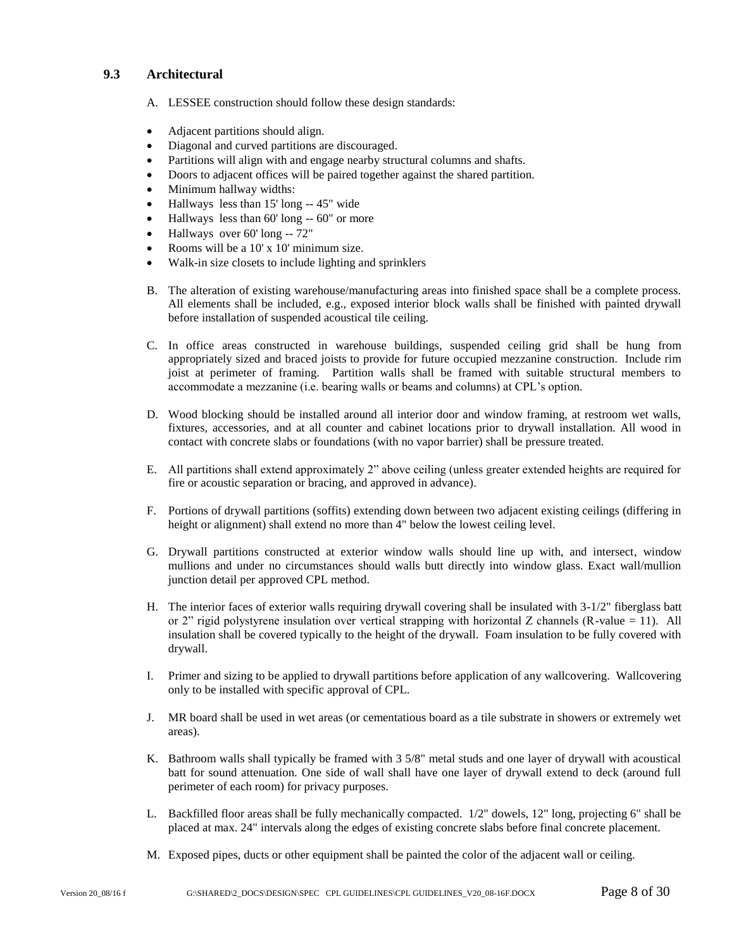#### <span id="page-7-0"></span>**9.3 Architectural**

- A. LESSEE construction should follow these design standards:
- Adjacent partitions should align.
- Diagonal and curved partitions are discouraged.
- Partitions will align with and engage nearby structural columns and shafts.
- Doors to adjacent offices will be paired together against the shared partition.
- Minimum hallway widths:
- Hallways less than 15' long -- 45" wide
- Hallways less than 60' long -- 60" or more
- Hallways over 60' long -- 72"
- Rooms will be a 10' x 10' minimum size.
- Walk-in size closets to include lighting and sprinklers
- B. The alteration of existing warehouse/manufacturing areas into finished space shall be a complete process. All elements shall be included, e.g., exposed interior block walls shall be finished with painted drywall before installation of suspended acoustical tile ceiling.
- C. In office areas constructed in warehouse buildings, suspended ceiling grid shall be hung from appropriately sized and braced joists to provide for future occupied mezzanine construction. Include rim joist at perimeter of framing. Partition walls shall be framed with suitable structural members to accommodate a mezzanine (i.e. bearing walls or beams and columns) at CPL's option.
- D. Wood blocking should be installed around all interior door and window framing, at restroom wet walls, fixtures, accessories, and at all counter and cabinet locations prior to drywall installation. All wood in contact with concrete slabs or foundations (with no vapor barrier) shall be pressure treated.
- E. All partitions shall extend approximately 2" above ceiling (unless greater extended heights are required for fire or acoustic separation or bracing, and approved in advance).
- F. Portions of drywall partitions (soffits) extending down between two adjacent existing ceilings (differing in height or alignment) shall extend no more than 4" below the lowest ceiling level.
- G. Drywall partitions constructed at exterior window walls should line up with, and intersect, window mullions and under no circumstances should walls butt directly into window glass. Exact wall/mullion junction detail per approved CPL method.
- H. The interior faces of exterior walls requiring drywall covering shall be insulated with 3-1/2" fiberglass batt or 2" rigid polystyrene insulation over vertical strapping with horizontal Z channels (R-value  $= 11$ ). All insulation shall be covered typically to the height of the drywall. Foam insulation to be fully covered with drywall.
- I. Primer and sizing to be applied to drywall partitions before application of any wallcovering. Wallcovering only to be installed with specific approval of CPL.
- J. MR board shall be used in wet areas (or cementatious board as a tile substrate in showers or extremely wet areas).
- K. Bathroom walls shall typically be framed with 3 5/8" metal studs and one layer of drywall with acoustical batt for sound attenuation. One side of wall shall have one layer of drywall extend to deck (around full perimeter of each room) for privacy purposes.
- L. Backfilled floor areas shall be fully mechanically compacted. 1/2" dowels, 12" long, projecting 6" shall be placed at max. 24" intervals along the edges of existing concrete slabs before final concrete placement.
- M. Exposed pipes, ducts or other equipment shall be painted the color of the adjacent wall or ceiling.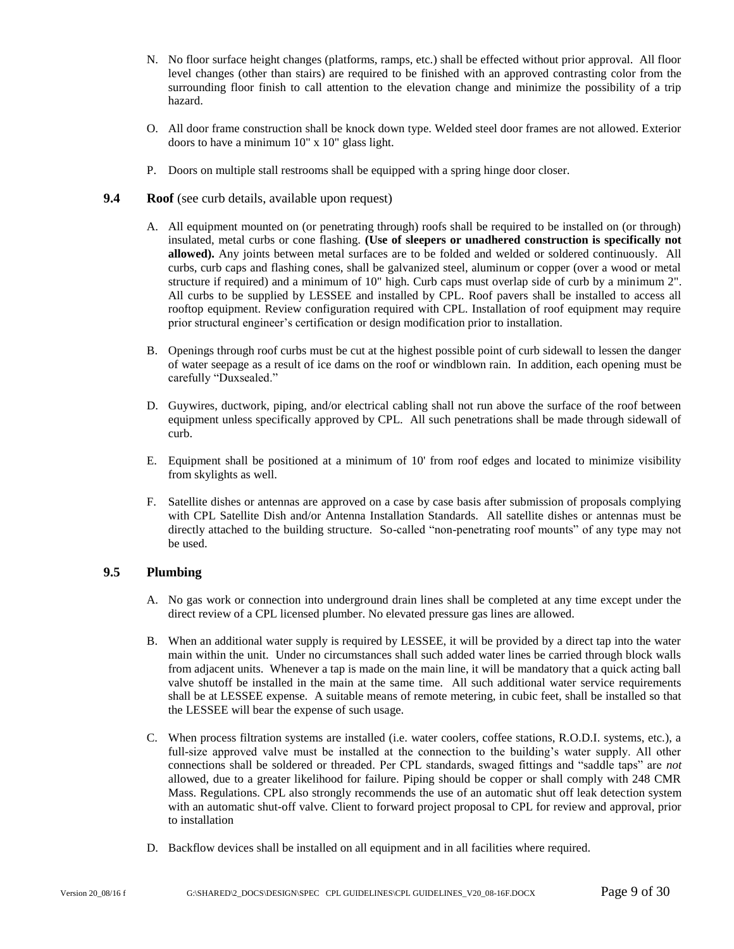- N. No floor surface height changes (platforms, ramps, etc.) shall be effected without prior approval. All floor level changes (other than stairs) are required to be finished with an approved contrasting color from the surrounding floor finish to call attention to the elevation change and minimize the possibility of a trip hazard.
- O. All door frame construction shall be knock down type. Welded steel door frames are not allowed. Exterior doors to have a minimum 10" x 10" glass light.
- P. Doors on multiple stall restrooms shall be equipped with a spring hinge door closer.
- <span id="page-8-0"></span>**9.4 Roof** (see curb details, available upon request)
	- A. All equipment mounted on (or penetrating through) roofs shall be required to be installed on (or through) insulated, metal curbs or cone flashing. **(Use of sleepers or unadhered construction is specifically not allowed).** Any joints between metal surfaces are to be folded and welded or soldered continuously. All curbs, curb caps and flashing cones, shall be galvanized steel, aluminum or copper (over a wood or metal structure if required) and a minimum of 10" high. Curb caps must overlap side of curb by a minimum 2". All curbs to be supplied by LESSEE and installed by CPL. Roof pavers shall be installed to access all rooftop equipment. Review configuration required with CPL. Installation of roof equipment may require prior structural engineer's certification or design modification prior to installation.
	- B. Openings through roof curbs must be cut at the highest possible point of curb sidewall to lessen the danger of water seepage as a result of ice dams on the roof or windblown rain. In addition, each opening must be carefully "Duxsealed."
	- D. Guywires, ductwork, piping, and/or electrical cabling shall not run above the surface of the roof between equipment unless specifically approved by CPL. All such penetrations shall be made through sidewall of curb.
	- E. Equipment shall be positioned at a minimum of 10' from roof edges and located to minimize visibility from skylights as well.
	- F. Satellite dishes or antennas are approved on a case by case basis after submission of proposals complying with CPL Satellite Dish and/or Antenna Installation Standards. All satellite dishes or antennas must be directly attached to the building structure. So-called "non-penetrating roof mounts" of any type may not be used.

#### <span id="page-8-1"></span>**9.5 Plumbing**

- A. No gas work or connection into underground drain lines shall be completed at any time except under the direct review of a CPL licensed plumber. No elevated pressure gas lines are allowed.
- B. When an additional water supply is required by LESSEE, it will be provided by a direct tap into the water main within the unit. Under no circumstances shall such added water lines be carried through block walls from adjacent units. Whenever a tap is made on the main line, it will be mandatory that a quick acting ball valve shutoff be installed in the main at the same time. All such additional water service requirements shall be at LESSEE expense. A suitable means of remote metering, in cubic feet, shall be installed so that the LESSEE will bear the expense of such usage.
- C. When process filtration systems are installed (i.e. water coolers, coffee stations, R.O.D.I. systems, etc.), a full-size approved valve must be installed at the connection to the building's water supply. All other connections shall be soldered or threaded. Per CPL standards, swaged fittings and "saddle taps" are *not* allowed, due to a greater likelihood for failure. Piping should be copper or shall comply with 248 CMR Mass. Regulations. CPL also strongly recommends the use of an automatic shut off leak detection system with an automatic shut-off valve. Client to forward project proposal to CPL for review and approval, prior to installation
- D. Backflow devices shall be installed on all equipment and in all facilities where required.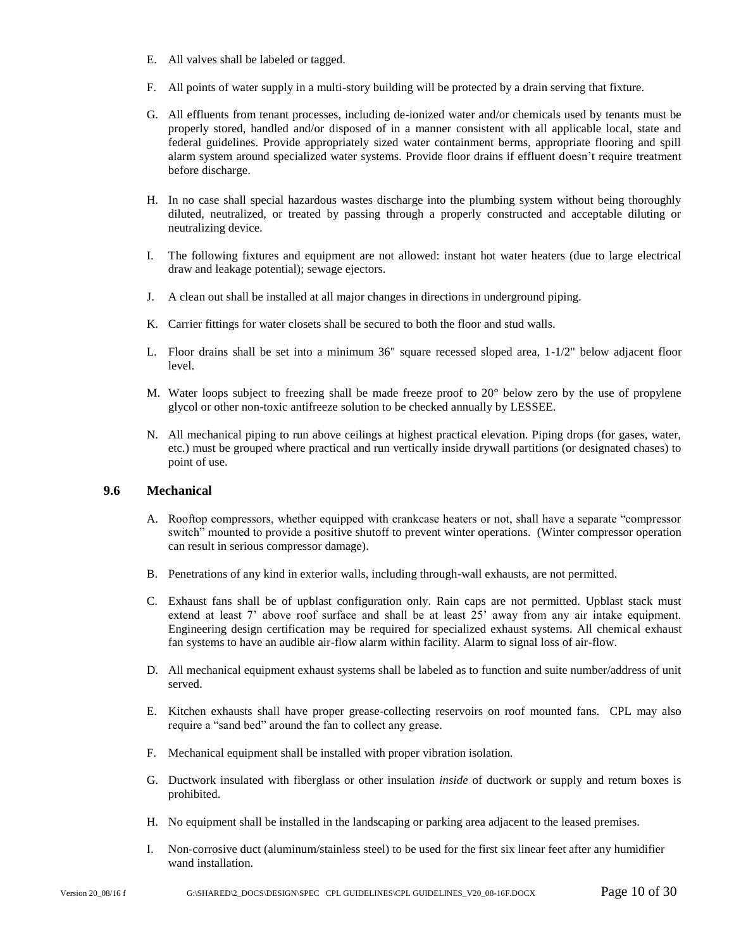- E. All valves shall be labeled or tagged.
- F. All points of water supply in a multi-story building will be protected by a drain serving that fixture.
- G. All effluents from tenant processes, including de-ionized water and/or chemicals used by tenants must be properly stored, handled and/or disposed of in a manner consistent with all applicable local, state and federal guidelines. Provide appropriately sized water containment berms, appropriate flooring and spill alarm system around specialized water systems. Provide floor drains if effluent doesn't require treatment before discharge.
- H. In no case shall special hazardous wastes discharge into the plumbing system without being thoroughly diluted, neutralized, or treated by passing through a properly constructed and acceptable diluting or neutralizing device.
- I. The following fixtures and equipment are not allowed: instant hot water heaters (due to large electrical draw and leakage potential); sewage ejectors.
- J. A clean out shall be installed at all major changes in directions in underground piping.
- K. Carrier fittings for water closets shall be secured to both the floor and stud walls.
- L. Floor drains shall be set into a minimum 36" square recessed sloped area, 1-1/2" below adjacent floor level.
- M. Water loops subject to freezing shall be made freeze proof to 20° below zero by the use of propylene glycol or other non-toxic antifreeze solution to be checked annually by LESSEE.
- N. All mechanical piping to run above ceilings at highest practical elevation. Piping drops (for gases, water, etc.) must be grouped where practical and run vertically inside drywall partitions (or designated chases) to point of use.

#### <span id="page-9-0"></span>**9.6 Mechanical**

- A. Rooftop compressors, whether equipped with crankcase heaters or not, shall have a separate "compressor switch" mounted to provide a positive shutoff to prevent winter operations. (Winter compressor operation can result in serious compressor damage).
- B. Penetrations of any kind in exterior walls, including through-wall exhausts, are not permitted.
- C. Exhaust fans shall be of upblast configuration only. Rain caps are not permitted. Upblast stack must extend at least 7' above roof surface and shall be at least 25' away from any air intake equipment. Engineering design certification may be required for specialized exhaust systems. All chemical exhaust fan systems to have an audible air-flow alarm within facility. Alarm to signal loss of air-flow.
- D. All mechanical equipment exhaust systems shall be labeled as to function and suite number/address of unit served.
- E. Kitchen exhausts shall have proper grease-collecting reservoirs on roof mounted fans. CPL may also require a "sand bed" around the fan to collect any grease.
- F. Mechanical equipment shall be installed with proper vibration isolation.
- G. Ductwork insulated with fiberglass or other insulation *inside* of ductwork or supply and return boxes is prohibited.
- H. No equipment shall be installed in the landscaping or parking area adjacent to the leased premises.
- I. Non-corrosive duct (aluminum/stainless steel) to be used for the first six linear feet after any humidifier wand installation.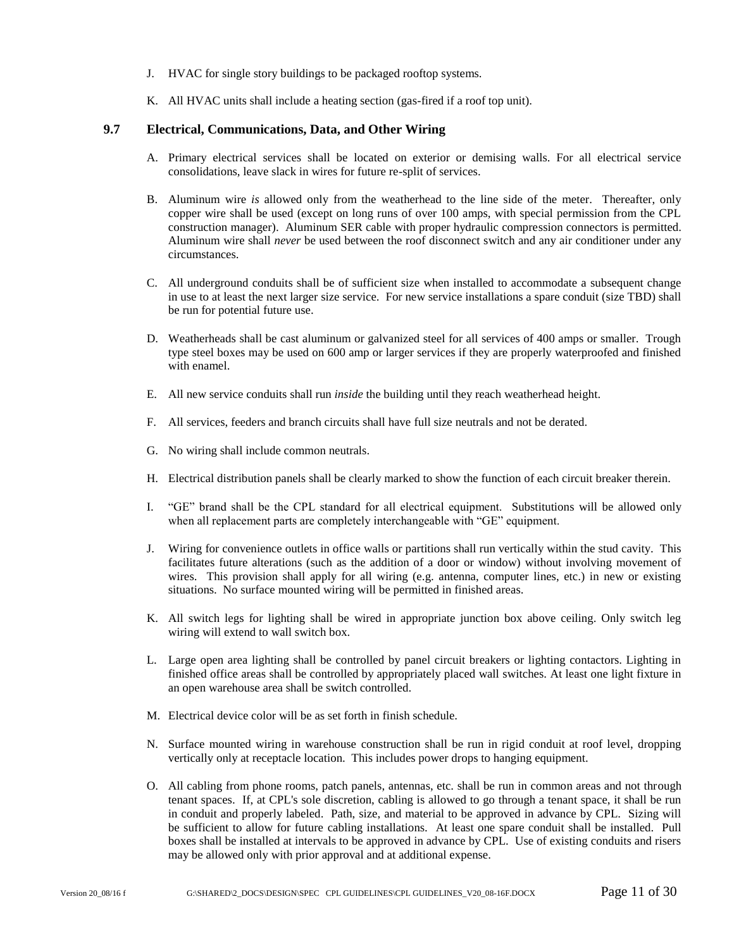- J. HVAC for single story buildings to be packaged rooftop systems.
- K. All HVAC units shall include a heating section (gas-fired if a roof top unit).

#### <span id="page-10-0"></span>**9.7 Electrical, Communications, Data, and Other Wiring**

- A. Primary electrical services shall be located on exterior or demising walls. For all electrical service consolidations, leave slack in wires for future re-split of services.
- B. Aluminum wire *is* allowed only from the weatherhead to the line side of the meter. Thereafter, only copper wire shall be used (except on long runs of over 100 amps, with special permission from the CPL construction manager). Aluminum SER cable with proper hydraulic compression connectors is permitted. Aluminum wire shall *never* be used between the roof disconnect switch and any air conditioner under any circumstances.
- C. All underground conduits shall be of sufficient size when installed to accommodate a subsequent change in use to at least the next larger size service. For new service installations a spare conduit (size TBD) shall be run for potential future use.
- D. Weatherheads shall be cast aluminum or galvanized steel for all services of 400 amps or smaller. Trough type steel boxes may be used on 600 amp or larger services if they are properly waterproofed and finished with enamel.
- E. All new service conduits shall run *inside* the building until they reach weatherhead height.
- F. All services, feeders and branch circuits shall have full size neutrals and not be derated.
- G. No wiring shall include common neutrals.
- H. Electrical distribution panels shall be clearly marked to show the function of each circuit breaker therein.
- I. "GE" brand shall be the CPL standard for all electrical equipment. Substitutions will be allowed only when all replacement parts are completely interchangeable with "GE" equipment.
- J. Wiring for convenience outlets in office walls or partitions shall run vertically within the stud cavity. This facilitates future alterations (such as the addition of a door or window) without involving movement of wires. This provision shall apply for all wiring (e.g. antenna, computer lines, etc.) in new or existing situations. No surface mounted wiring will be permitted in finished areas.
- K. All switch legs for lighting shall be wired in appropriate junction box above ceiling. Only switch leg wiring will extend to wall switch box.
- L. Large open area lighting shall be controlled by panel circuit breakers or lighting contactors. Lighting in finished office areas shall be controlled by appropriately placed wall switches. At least one light fixture in an open warehouse area shall be switch controlled.
- M. Electrical device color will be as set forth in finish schedule.
- N. Surface mounted wiring in warehouse construction shall be run in rigid conduit at roof level, dropping vertically only at receptacle location. This includes power drops to hanging equipment.
- O. All cabling from phone rooms, patch panels, antennas, etc. shall be run in common areas and not through tenant spaces. If, at CPL's sole discretion, cabling is allowed to go through a tenant space, it shall be run in conduit and properly labeled. Path, size, and material to be approved in advance by CPL. Sizing will be sufficient to allow for future cabling installations. At least one spare conduit shall be installed. Pull boxes shall be installed at intervals to be approved in advance by CPL. Use of existing conduits and risers may be allowed only with prior approval and at additional expense.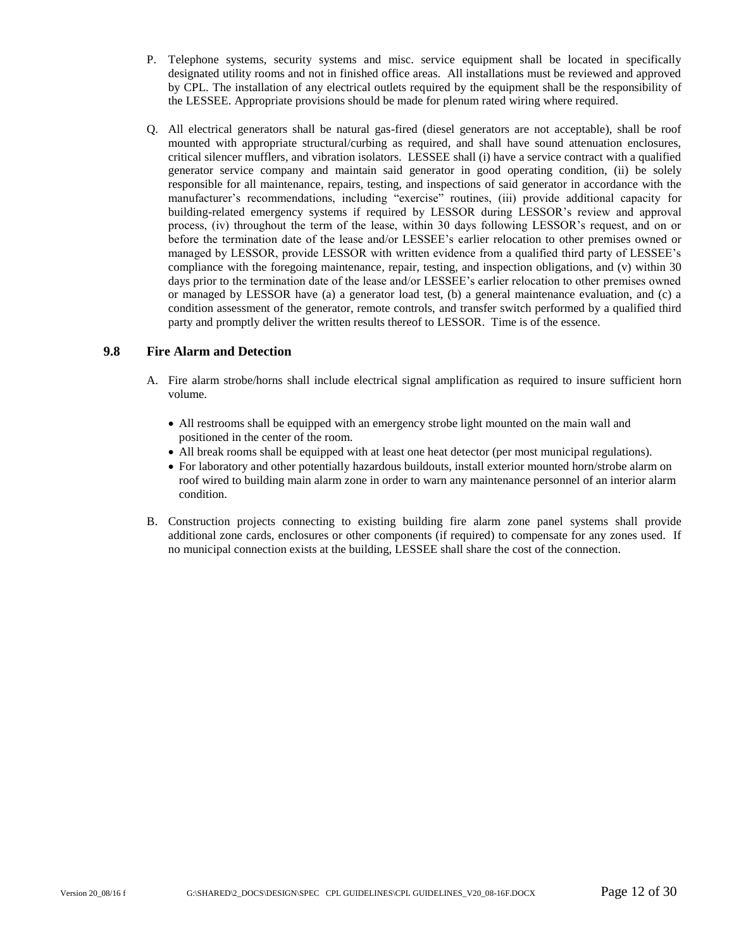- P. Telephone systems, security systems and misc. service equipment shall be located in specifically designated utility rooms and not in finished office areas. All installations must be reviewed and approved by CPL. The installation of any electrical outlets required by the equipment shall be the responsibility of the LESSEE. Appropriate provisions should be made for plenum rated wiring where required.
- Q. All electrical generators shall be natural gas-fired (diesel generators are not acceptable), shall be roof mounted with appropriate structural/curbing as required, and shall have sound attenuation enclosures, critical silencer mufflers, and vibration isolators. LESSEE shall (i) have a service contract with a qualified generator service company and maintain said generator in good operating condition, (ii) be solely responsible for all maintenance, repairs, testing, and inspections of said generator in accordance with the manufacturer's recommendations, including "exercise" routines, (iii) provide additional capacity for building-related emergency systems if required by LESSOR during LESSOR's review and approval process, (iv) throughout the term of the lease, within 30 days following LESSOR's request, and on or before the termination date of the lease and/or LESSEE's earlier relocation to other premises owned or managed by LESSOR, provide LESSOR with written evidence from a qualified third party of LESSEE's compliance with the foregoing maintenance, repair, testing, and inspection obligations, and (v) within 30 days prior to the termination date of the lease and/or LESSEE's earlier relocation to other premises owned or managed by LESSOR have (a) a generator load test, (b) a general maintenance evaluation, and (c) a condition assessment of the generator, remote controls, and transfer switch performed by a qualified third party and promptly deliver the written results thereof to LESSOR. Time is of the essence.

#### **9.8 Fire Alarm and Detection**

- <span id="page-11-0"></span>A. Fire alarm strobe/horns shall include electrical signal amplification as required to insure sufficient horn volume.
	- All restrooms shall be equipped with an emergency strobe light mounted on the main wall and positioned in the center of the room.
	- All break rooms shall be equipped with at least one heat detector (per most municipal regulations).
	- For laboratory and other potentially hazardous buildouts, install exterior mounted horn/strobe alarm on roof wired to building main alarm zone in order to warn any maintenance personnel of an interior alarm condition.
- <span id="page-11-1"></span>B. Construction projects connecting to existing building fire alarm zone panel systems shall provide additional zone cards, enclosures or other components (if required) to compensate for any zones used. If no municipal connection exists at the building, LESSEE shall share the cost of the connection.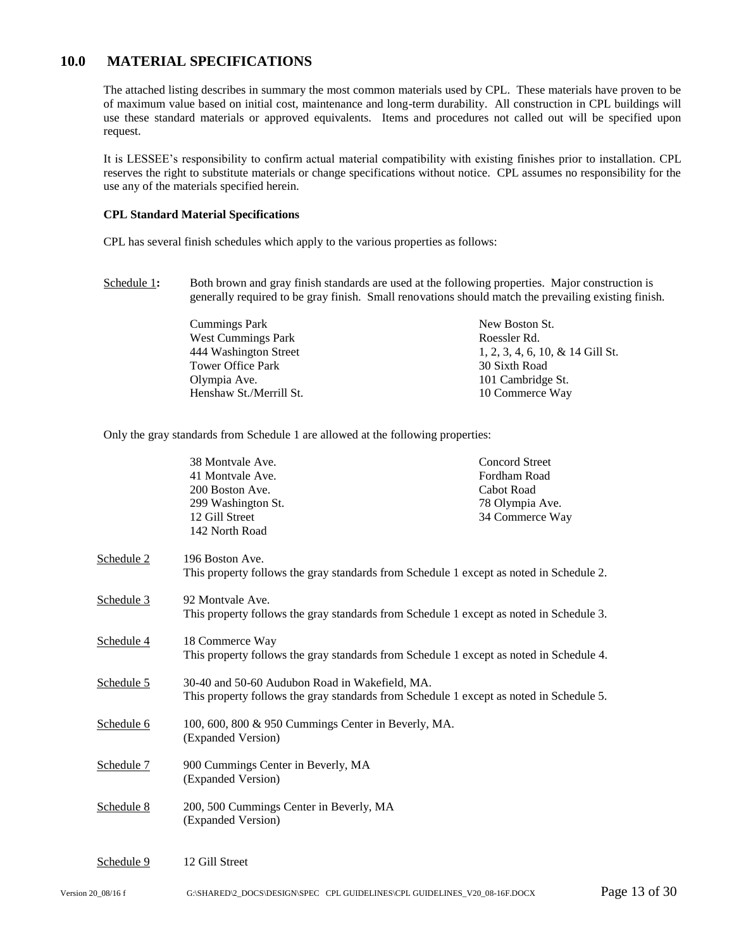### **10.0 MATERIAL SPECIFICATIONS**

The attached listing describes in summary the most common materials used by CPL. These materials have proven to be of maximum value based on initial cost, maintenance and long-term durability. All construction in CPL buildings will use these standard materials or approved equivalents. Items and procedures not called out will be specified upon request.

It is LESSEE's responsibility to confirm actual material compatibility with existing finishes prior to installation. CPL reserves the right to substitute materials or change specifications without notice. CPL assumes no responsibility for the use any of the materials specified herein.

#### **CPL Standard Material Specifications**

CPL has several finish schedules which apply to the various properties as follows:

- [Schedule 1](#page-14-0): Both brown and gray finish standards are used at the following properties. Major construction is generally required to be gray finish. Small renovations should match the prevailing existing finish.
	- Cummings Park West Cummings Park 444 Washington Street Tower Office Park Olympia Ave. Henshaw St./Merrill St. New Boston St. Roessler Rd. 1, 2, 3, 4, 6, 10, & 14 Gill St. 30 Sixth Road 101 Cambridge St. 10 Commerce Way

Only the gray standards from Schedule 1 are allowed at the following properties:

|            | 38 Montvale Ave.<br>41 Montvale Ave.<br>200 Boston Ave.<br>299 Washington St.<br>12 Gill Street<br>142 North Road                         | <b>Concord Street</b><br>Fordham Road<br>Cabot Road<br>78 Olympia Ave.<br>34 Commerce Way |
|------------|-------------------------------------------------------------------------------------------------------------------------------------------|-------------------------------------------------------------------------------------------|
| Schedule 2 | 196 Boston Ave.<br>This property follows the gray standards from Schedule 1 except as noted in Schedule 2.                                |                                                                                           |
| Schedule 3 | 92 Montvale Ave.<br>This property follows the gray standards from Schedule 1 except as noted in Schedule 3.                               |                                                                                           |
| Schedule 4 | 18 Commerce Way<br>This property follows the gray standards from Schedule 1 except as noted in Schedule 4.                                |                                                                                           |
| Schedule 5 | 30-40 and 50-60 Audubon Road in Wakefield, MA.<br>This property follows the gray standards from Schedule 1 except as noted in Schedule 5. |                                                                                           |
| Schedule 6 | 100, 600, 800 & 950 Cummings Center in Beverly, MA.<br>(Expanded Version)                                                                 |                                                                                           |
| Schedule 7 | 900 Cummings Center in Beverly, MA<br>(Expanded Version)                                                                                  |                                                                                           |
| Schedule 8 | 200, 500 Cummings Center in Beverly, MA<br>(Expanded Version)                                                                             |                                                                                           |
| Schedule 9 | 12 Gill Street                                                                                                                            |                                                                                           |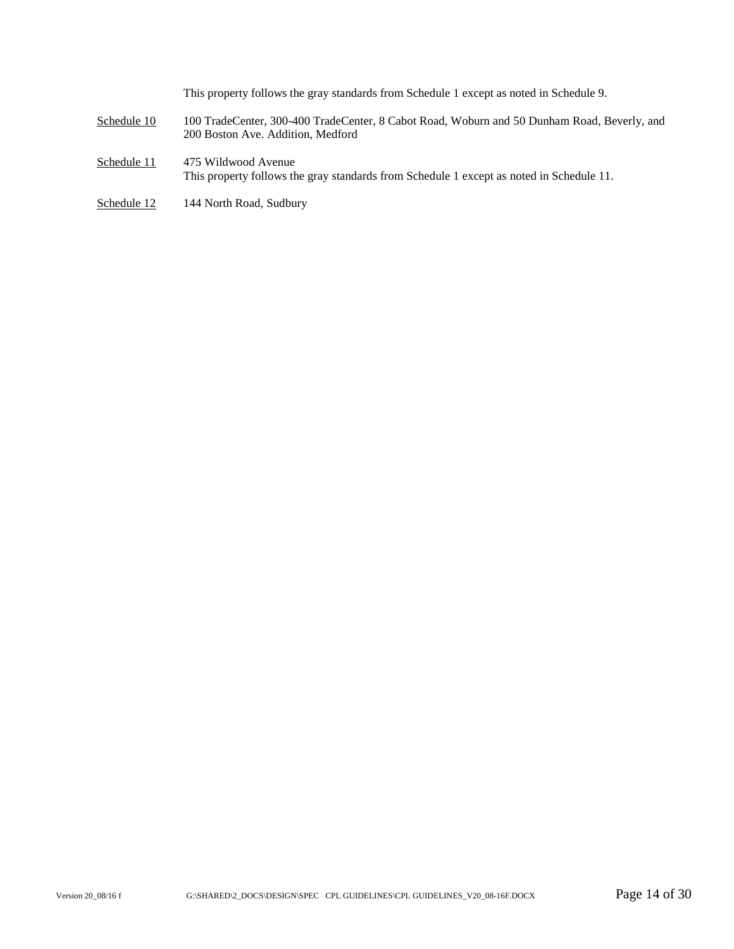This property follows the gray standards from Schedule 1 except as noted in Schedule 9.

- [Schedule 10](#page-26-1) 100 TradeCenter, 300-400 TradeCenter, 8 Cabot Road, Woburn and 50 Dunham Road, Beverly, and 200 Boston Ave. Addition, Medford
- [Schedule 11](#page-27-0) 475 Wildwood Avenue This property follows the gray standards from Schedule 1 except as noted in Schedule 11.
- [Schedule 12](#page-28-0) 144 North Road, Sudbury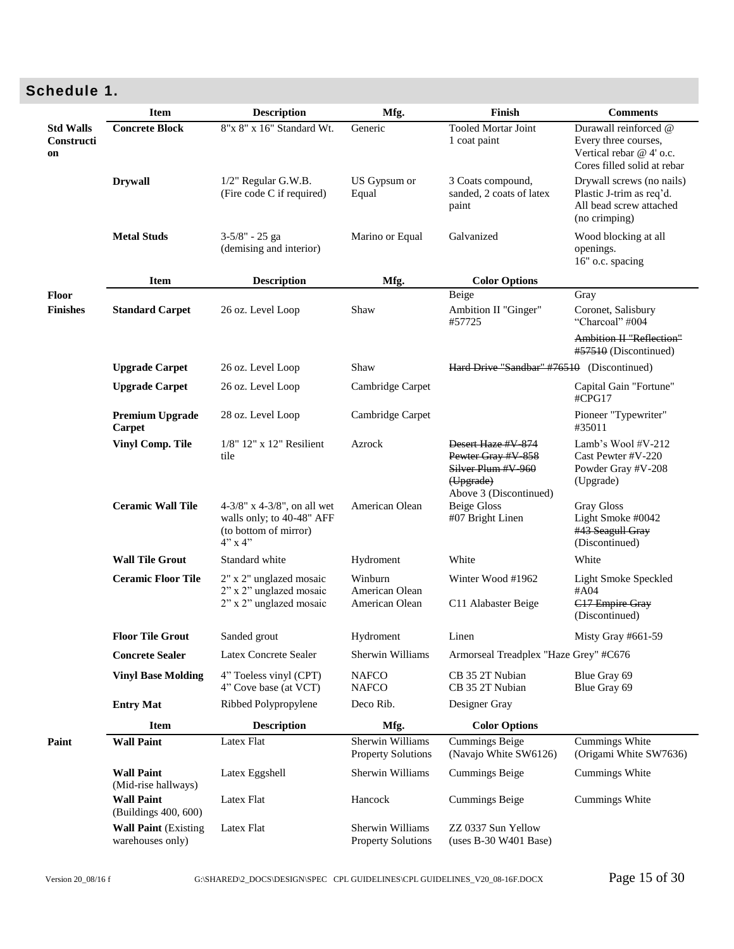# <span id="page-14-0"></span>**Schedule 1.**

|                                      | <b>Item</b>                                      | <b>Description</b>                                                                               | Mfg.                                          | Finish                                                                                                | <b>Comments</b>                                                                                          |
|--------------------------------------|--------------------------------------------------|--------------------------------------------------------------------------------------------------|-----------------------------------------------|-------------------------------------------------------------------------------------------------------|----------------------------------------------------------------------------------------------------------|
| <b>Std Walls</b><br>Constructi<br>on | <b>Concrete Block</b>                            | 8"x 8" x 16" Standard Wt.                                                                        | Generic                                       | <b>Tooled Mortar Joint</b><br>1 coat paint                                                            | Durawall reinforced @<br>Every three courses,<br>Vertical rebar @ 4' o.c.<br>Cores filled solid at rebar |
|                                      | <b>Drywall</b>                                   | 1/2" Regular G.W.B.<br>(Fire code C if required)                                                 | US Gypsum or<br>Equal                         | 3 Coats compound,<br>sanded, 2 coats of latex<br>paint                                                | Drywall screws (no nails)<br>Plastic J-trim as req'd.<br>All bead screw attached<br>(no crimping)        |
|                                      | <b>Metal Studs</b>                               | 3-5/8" - 25 ga<br>(demising and interior)                                                        | Marino or Equal                               | Galvanized                                                                                            | Wood blocking at all<br>openings.<br>16" o.c. spacing                                                    |
|                                      | <b>Item</b>                                      | <b>Description</b>                                                                               | Mfg.                                          | <b>Color Options</b>                                                                                  |                                                                                                          |
| Floor<br><b>Finishes</b>             | <b>Standard Carpet</b>                           | 26 oz. Level Loop                                                                                | Shaw                                          | Beige<br>Ambition II "Ginger"<br>#57725                                                               | Gray<br>Coronet, Salisbury<br>"Charcoal" #004                                                            |
|                                      |                                                  |                                                                                                  |                                               |                                                                                                       | Ambition II "Reflection"<br>#57510 (Discontinued)                                                        |
|                                      | <b>Upgrade Carpet</b>                            | 26 oz. Level Loop                                                                                | Shaw                                          | Hard Drive "Sandbar" #76510                                                                           | (Discontinued)                                                                                           |
|                                      | <b>Upgrade Carpet</b>                            | 26 oz. Level Loop                                                                                | Cambridge Carpet                              |                                                                                                       | Capital Gain "Fortune"<br>#CPG17                                                                         |
|                                      | <b>Premium Upgrade</b><br>Carpet                 | 28 oz. Level Loop                                                                                | Cambridge Carpet                              |                                                                                                       | Pioneer "Typewriter"<br>#35011                                                                           |
|                                      | <b>Vinyl Comp. Tile</b>                          | $1/8$ " $12$ " x $12$ " Resilient<br>tile                                                        | Azrock                                        | Desert Haze #V-874<br>Pewter Gray #V-858<br>Silver Plum #V-960<br>(Upgrade)<br>Above 3 (Discontinued) | Lamb's Wool #V-212<br>Cast Pewter #V-220<br>Powder Gray #V-208<br>(Upgrade)                              |
|                                      | <b>Ceramic Wall Tile</b>                         | 4-3/8" x 4-3/8", on all wet<br>walls only; to 40-48" AFF<br>(to bottom of mirror)<br>$4"$ x $4"$ | American Olean                                | <b>Beige Gloss</b><br>#07 Bright Linen                                                                | <b>Gray Gloss</b><br>Light Smoke #0042<br>#43 Seagull Gray<br>(Discontinued)                             |
|                                      | <b>Wall Tile Grout</b>                           | Standard white                                                                                   | Hydroment                                     | White                                                                                                 | White                                                                                                    |
|                                      | <b>Ceramic Floor Tile</b>                        | 2" x 2" unglazed mosaic<br>2" x 2" unglazed mosaic<br>2" x 2" unglazed mosaic                    | Winburn<br>American Olean<br>American Olean   | Winter Wood #1962<br>C11 Alabaster Beige                                                              | Light Smoke Speckled<br>#A04<br>C17 Empire Gray<br>(Discontinued)                                        |
|                                      | <b>Floor Tile Grout</b>                          | Sanded grout                                                                                     | Hydroment                                     | Linen                                                                                                 | Misty Gray #661-59                                                                                       |
|                                      | <b>Concrete Sealer</b>                           | Latex Concrete Sealer                                                                            | Sherwin Williams                              | Armorseal Treadplex "Haze Grey" #C676                                                                 |                                                                                                          |
|                                      | <b>Vinyl Base Molding</b>                        | 4" Toeless vinyl (CPT)<br>4" Cove base (at VCT)                                                  | <b>NAFCO</b><br><b>NAFCO</b>                  | CB 35 2T Nubian<br>CB 35 2T Nubian                                                                    | Blue Gray 69<br>Blue Gray 69                                                                             |
|                                      | <b>Entry Mat</b>                                 | Ribbed Polypropylene                                                                             | Deco Rib.                                     | Designer Gray                                                                                         |                                                                                                          |
|                                      | <b>Item</b>                                      | <b>Description</b>                                                                               | Mfg.                                          | <b>Color Options</b>                                                                                  |                                                                                                          |
| Paint                                | <b>Wall Paint</b>                                | Latex Flat                                                                                       | Sherwin Williams<br><b>Property Solutions</b> | Cummings Beige<br>(Navajo White SW6126)                                                               | Cummings White<br>(Origami White SW7636)                                                                 |
|                                      | <b>Wall Paint</b><br>(Mid-rise hallways)         | Latex Eggshell                                                                                   | Sherwin Williams                              | <b>Cummings Beige</b>                                                                                 | Cummings White                                                                                           |
|                                      | <b>Wall Paint</b><br>(Buildings 400, 600)        | Latex Flat                                                                                       | Hancock                                       | <b>Cummings Beige</b>                                                                                 | Cummings White                                                                                           |
|                                      | <b>Wall Paint (Existing)</b><br>warehouses only) | Latex Flat                                                                                       | Sherwin Williams<br><b>Property Solutions</b> | ZZ 0337 Sun Yellow<br>(uses B-30 W401 Base)                                                           |                                                                                                          |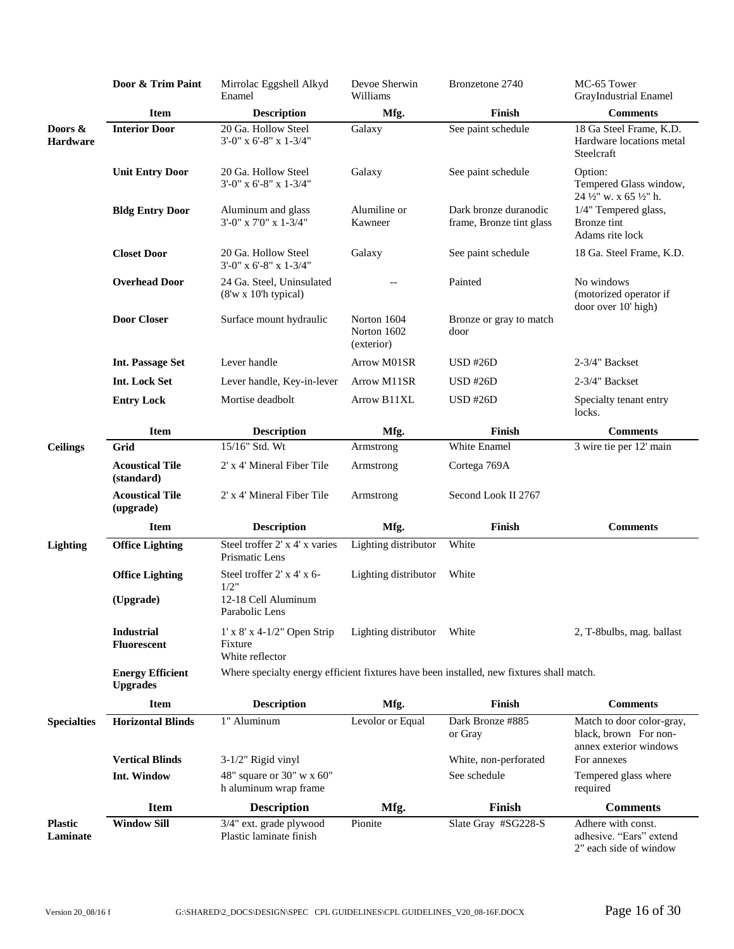|                            | Door & Trim Paint                          | Mirrolac Eggshell Alkyd<br>Enamel                                                        | Devoe Sherwin<br>Williams                | Bronzetone 2740                                   | MC-65 Tower<br>GrayIndustrial Enamel                                         |
|----------------------------|--------------------------------------------|------------------------------------------------------------------------------------------|------------------------------------------|---------------------------------------------------|------------------------------------------------------------------------------|
|                            | <b>Item</b>                                | <b>Description</b>                                                                       | Mfg.                                     | Finish                                            | <b>Comments</b>                                                              |
| Doors $\&$<br>Hardware     | <b>Interior Door</b>                       | 20 Ga. Hollow Steel<br>$3'$ -0" x 6'-8" x 1-3/4"                                         | Galaxy                                   | See paint schedule                                | 18 Ga Steel Frame, K.D.<br>Hardware locations metal<br>Steelcraft            |
|                            | <b>Unit Entry Door</b>                     | 20 Ga. Hollow Steel<br>3'-0" x 6'-8" x 1-3/4"                                            | Galaxy                                   | See paint schedule                                | Option:<br>Tempered Glass window,<br>24 1/2" w. x 65 1/2" h.                 |
|                            | <b>Bldg Entry Door</b>                     | Aluminum and glass<br>$3'$ -0" x 7'0" x 1-3/4"                                           | Alumiline or<br>Kawneer                  | Dark bronze duranodic<br>frame, Bronze tint glass | 1/4" Tempered glass,<br>Bronze tint<br>Adams rite lock                       |
|                            | <b>Closet Door</b>                         | 20 Ga. Hollow Steel<br>$3'-0''$ x 6'-8" x 1-3/4"                                         | Galaxy                                   | See paint schedule                                | 18 Ga. Steel Frame, K.D.                                                     |
|                            | <b>Overhead Door</b>                       | 24 Ga. Steel, Uninsulated<br>$(8'w \times 10'h$ typical)                                 |                                          | Painted                                           | No windows<br>(motorized operator if<br>door over 10' high)                  |
|                            | <b>Door Closer</b>                         | Surface mount hydraulic                                                                  | Norton 1604<br>Norton 1602<br>(exterior) | Bronze or gray to match<br>door                   |                                                                              |
|                            | <b>Int. Passage Set</b>                    | Lever handle                                                                             | Arrow M01SR                              | $USD$ #26 $D$                                     | 2-3/4" Backset                                                               |
|                            | <b>Int. Lock Set</b>                       | Lever handle, Key-in-lever                                                               | Arrow M11SR                              | <b>USD #26D</b>                                   | 2-3/4" Backset                                                               |
|                            | <b>Entry Lock</b>                          | Mortise deadbolt                                                                         | Arrow B11XL                              | $USD$ #26 $D$                                     | Specialty tenant entry<br>locks.                                             |
|                            | Item                                       | <b>Description</b>                                                                       | Mfg.                                     | Finish                                            | <b>Comments</b>                                                              |
| <b>Ceilings</b>            | Grid                                       | 15/16" Std. Wt                                                                           | Armstrong                                | White Enamel                                      | 3 wire tie per 12' main                                                      |
|                            | <b>Acoustical Tile</b><br>(standard)       | 2' x 4' Mineral Fiber Tile                                                               | Armstrong                                | Cortega 769A                                      |                                                                              |
|                            | <b>Acoustical Tile</b><br>(upgrade)        | 2' x 4' Mineral Fiber Tile                                                               | Armstrong                                | Second Look II 2767                               |                                                                              |
|                            | <b>Item</b>                                | <b>Description</b>                                                                       | Mfg.                                     | Finish                                            | <b>Comments</b>                                                              |
| <b>Lighting</b>            | <b>Office Lighting</b>                     | Steel troffer 2' x 4' x varies<br>Prismatic Lens                                         | Lighting distributor                     | White                                             |                                                                              |
|                            | <b>Office Lighting</b>                     | Steel troffer 2' x 4' x 6-<br>1/2"                                                       | Lighting distributor                     | White                                             |                                                                              |
|                            | (Upgrade)                                  | 12-18 Cell Aluminum<br>Parabolic Lens                                                    |                                          |                                                   |                                                                              |
|                            | <b>Industrial</b><br><b>Fluorescent</b>    | $1'$ x $8'$ x 4-1/2" Open Strip<br>Fixture<br>White reflector                            | Lighting distributor                     | White                                             | 2, T-8bulbs, mag. ballast                                                    |
|                            | <b>Energy Efficient</b><br><b>Upgrades</b> | Where specialty energy efficient fixtures have been installed, new fixtures shall match. |                                          |                                                   |                                                                              |
|                            | <b>Item</b>                                | <b>Description</b>                                                                       | Mfg.                                     | Finish                                            | <b>Comments</b>                                                              |
| <b>Specialties</b>         | <b>Horizontal Blinds</b>                   | 1" Aluminum                                                                              | Levolor or Equal                         | Dark Bronze #885<br>or Gray                       | Match to door color-gray,<br>black, brown For non-<br>annex exterior windows |
|                            | <b>Vertical Blinds</b>                     | 3-1/2" Rigid vinyl                                                                       |                                          | White, non-perforated                             | For annexes                                                                  |
|                            | Int. Window                                | 48" square or $30" \text{ w x } 60"$<br>h aluminum wrap frame                            |                                          | See schedule                                      | Tempered glass where<br>required                                             |
|                            | <b>Item</b>                                | <b>Description</b>                                                                       | Mfg.                                     | Finish                                            | <b>Comments</b>                                                              |
| <b>Plastic</b><br>Laminate | <b>Window Sill</b>                         | 3/4" ext. grade plywood<br>Plastic laminate finish                                       | Pionite                                  | Slate Gray #SG228-S                               | Adhere with const.<br>adhesive. "Ears" extend<br>2" each side of window      |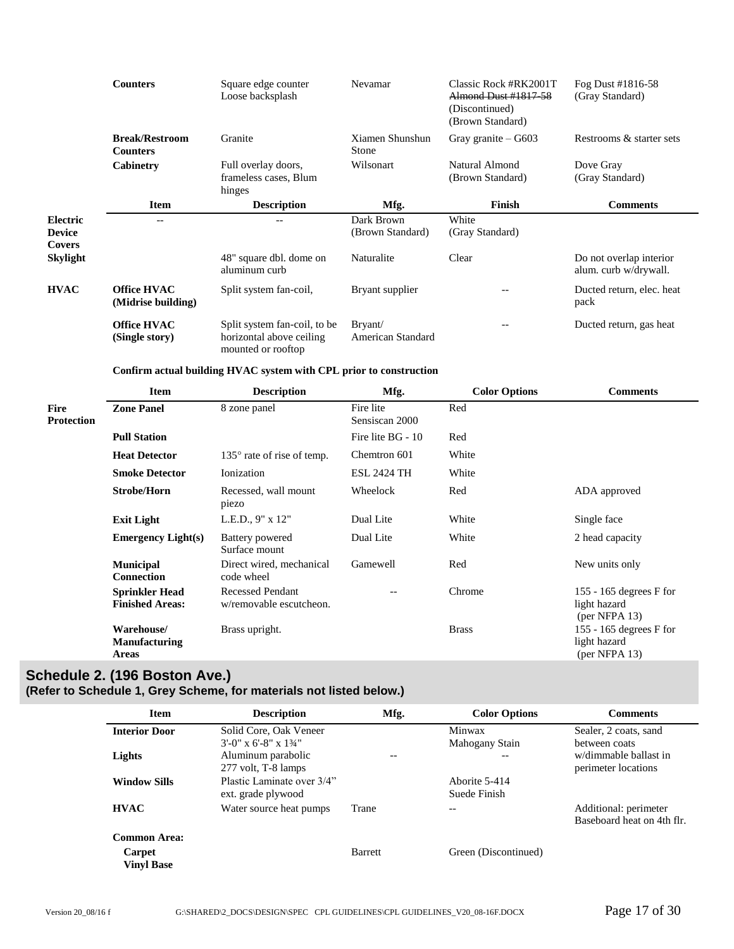|                                                   | <b>Counters</b>                          | Square edge counter<br>Loose backsplash                                        | Nevamar                        | Classic Rock #RK2001T<br><b>Almond Dust #1817-58</b><br>(Discontinued)<br>(Brown Standard) | Fog Dust #1816-58<br>(Gray Standard)             |
|---------------------------------------------------|------------------------------------------|--------------------------------------------------------------------------------|--------------------------------|--------------------------------------------------------------------------------------------|--------------------------------------------------|
|                                                   | <b>Break/Restroom</b><br><b>Counters</b> | Granite                                                                        | Xiamen Shunshun<br>Stone       | Gray granite $-$ G603                                                                      | Restrooms & starter sets                         |
|                                                   | Cabinetry                                | Full overlay doors,<br>frameless cases, Blum<br>hinges                         | Wilsonart                      | Natural Almond<br>(Brown Standard)                                                         | Dove Gray<br>(Gray Standard)                     |
|                                                   | <b>Item</b>                              | <b>Description</b>                                                             | Mfg.                           | Finish                                                                                     | <b>Comments</b>                                  |
| <b>Electric</b><br><b>Device</b><br><b>Covers</b> | $- -$                                    | $-$                                                                            | Dark Brown<br>(Brown Standard) | White<br>(Gray Standard)                                                                   |                                                  |
| <b>Skylight</b>                                   |                                          | 48" square dbl. dome on<br>aluminum curb                                       | Naturalite                     | Clear                                                                                      | Do not overlap interior<br>alum. curb w/drywall. |
| <b>HVAC</b>                                       | <b>Office HVAC</b><br>(Midrise building) | Split system fan-coil,                                                         | Bryant supplier                | $- -$                                                                                      | Ducted return, elec. heat<br>pack                |
|                                                   | <b>Office HVAC</b><br>(Single story)     | Split system fan-coil, to be<br>horizontal above ceiling<br>mounted or rooftop | Bryant/<br>American Standard   |                                                                                            | Ducted return, gas heat                          |

#### **Confirm actual building HVAC system with CPL prior to construction**

|                                  | <b>Item</b>                                     | <b>Description</b>                                 | Mfg.                        | <b>Color Options</b> | <b>Comments</b>                                            |
|----------------------------------|-------------------------------------------------|----------------------------------------------------|-----------------------------|----------------------|------------------------------------------------------------|
| <b>Fire</b><br><b>Protection</b> | <b>Zone Panel</b>                               | 8 zone panel                                       | Fire lite<br>Sensiscan 2000 | Red                  |                                                            |
|                                  | <b>Pull Station</b>                             |                                                    | Fire lite BG - 10           | Red                  |                                                            |
|                                  | <b>Heat Detector</b>                            | $135^{\circ}$ rate of rise of temp.                | Chemtron 601                | White                |                                                            |
|                                  | <b>Smoke Detector</b>                           | Ionization                                         | <b>ESL 2424 TH</b>          | White                |                                                            |
|                                  | <b>Strobe/Horn</b>                              | Recessed, wall mount<br>piezo                      | Wheelock                    | Red                  | ADA approved                                               |
|                                  | <b>Exit Light</b>                               | L.E.D., $9'' \times 12''$                          | Dual Lite                   | White                | Single face                                                |
|                                  | <b>Emergency Light(s)</b>                       | Battery powered<br>Surface mount                   | Dual Lite                   | White                | 2 head capacity                                            |
|                                  | <b>Municipal</b><br><b>Connection</b>           | Direct wired, mechanical<br>code wheel             | Gamewell                    | Red                  | New units only                                             |
|                                  | <b>Sprinkler Head</b><br><b>Finished Areas:</b> | <b>Recessed Pendant</b><br>w/removable escutcheon. |                             | Chrome               | 155 - 165 degrees $F$ for<br>light hazard<br>(per NFPA 13) |
|                                  | Warehouse/<br><b>Manufacturing</b><br>Areas     | Brass upright.                                     |                             | <b>Brass</b>         | 155 - 165 degrees $F$ for<br>light hazard<br>(per NFPA 13) |

# <span id="page-16-0"></span>**Schedule 2. (196 Boston Ave.)**

**(Refer to Schedule 1, Grey Scheme, for materials not listed below.)**

| <b>Item</b>                 | <b>Description</b>         | Mfg.           | <b>Color Options</b> | <b>Comments</b>            |
|-----------------------------|----------------------------|----------------|----------------------|----------------------------|
| <b>Interior Door</b>        | Solid Core, Oak Veneer     |                | Minwax               | Sealer, 2 coats, sand      |
|                             | $3'$ -0" x 6'-8" x 13/4"   |                | Mahogany Stain       | between coats              |
| Lights                      | Aluminum parabolic         | $-$            | $- -$                | w/dimmable ballast in      |
|                             | 277 volt, T-8 lamps        |                |                      | perimeter locations        |
| <b>Window Sills</b>         | Plastic Laminate over 3/4" |                | Aborite 5-414        |                            |
|                             | ext. grade plywood         |                | Suede Finish         |                            |
| <b>HVAC</b>                 | Water source heat pumps    | Trane          | --                   | Additional: perimeter      |
|                             |                            |                |                      | Baseboard heat on 4th flr. |
| <b>Common Area:</b>         |                            |                |                      |                            |
| Carpet<br><b>Vinyl Base</b> |                            | <b>Barrett</b> | Green (Discontinued) |                            |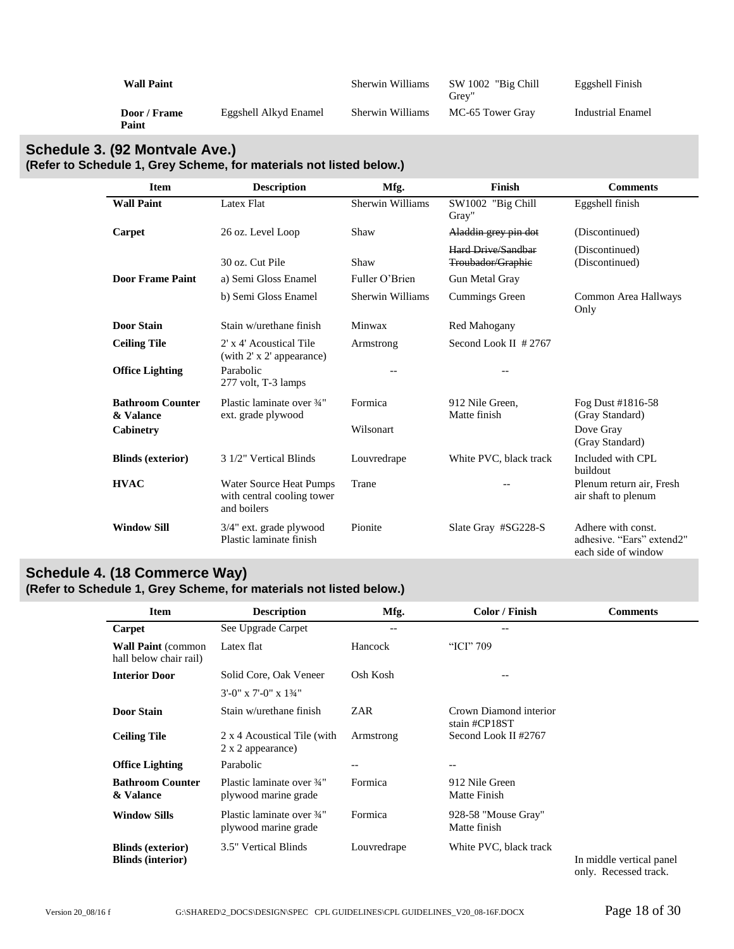| <b>Wall Paint</b>     |                       | Sherwin Williams | SW 1002 "Big Chill"<br>Grev" | Eggshell Finish   |
|-----------------------|-----------------------|------------------|------------------------------|-------------------|
| Door / Frame<br>Paint | Eggshell Alkyd Enamel | Sherwin Williams | MC-65 Tower Gray             | Industrial Enamel |

# <span id="page-17-0"></span>**Schedule 3. (92 Montvale Ave.) (Refer to Schedule 1, Grey Scheme, for materials not listed below.)**

| <b>Item</b>                                       | <b>Description</b>                                                   | Mfg.                    | <b>Finish</b>                                  | <b>Comments</b>                                                        |
|---------------------------------------------------|----------------------------------------------------------------------|-------------------------|------------------------------------------------|------------------------------------------------------------------------|
| <b>Wall Paint</b>                                 | Latex Flat                                                           | <b>Sherwin Williams</b> | SW1002 "Big Chill<br>Gray"                     | Eggshell finish                                                        |
| Carpet                                            | 26 oz. Level Loop                                                    | Shaw                    | Aladdin grey pin dot                           | (Discontinued)                                                         |
|                                                   | 30 oz. Cut Pile                                                      | Shaw                    | <b>Hard Drive/Sandbar</b><br>Troubador/Graphie | (Discontinued)<br>(Discontinued)                                       |
| <b>Door Frame Paint</b>                           | a) Semi Gloss Enamel                                                 | Fuller O'Brien          | Gun Metal Gray                                 |                                                                        |
|                                                   | b) Semi Gloss Enamel                                                 | <b>Sherwin Williams</b> | Cummings Green                                 | Common Area Hallways<br>Only                                           |
| <b>Door Stain</b>                                 | Stain w/urethane finish                                              | Minwax                  | Red Mahogany                                   |                                                                        |
| <b>Ceiling Tile</b>                               | 2' x 4' Acoustical Tile<br>(with 2' x 2' appearance)                 | Armstrong               | Second Look II $#2767$                         |                                                                        |
| <b>Office Lighting</b>                            | Parabolic<br>277 volt, T-3 lamps                                     |                         |                                                |                                                                        |
| <b>Bathroom Counter</b><br>& Valance<br>Cabinetry | Plastic laminate over 3/4"<br>ext. grade plywood                     | Formica<br>Wilsonart    | 912 Nile Green,<br>Matte finish                | Fog Dust #1816-58<br>(Gray Standard)<br>Dove Gray<br>(Gray Standard)   |
| <b>Blinds</b> (exterior)                          | 3 1/2" Vertical Blinds                                               | Louvredrape             | White PVC, black track                         | Included with CPL<br>buildout                                          |
| <b>HVAC</b>                                       | Water Source Heat Pumps<br>with central cooling tower<br>and boilers | Trane                   | --                                             | Plenum return air, Fresh<br>air shaft to plenum                        |
| <b>Window Sill</b>                                | 3/4" ext. grade plywood<br>Plastic laminate finish                   | Pionite                 | Slate Gray #SG228-S                            | Adhere with const.<br>adhesive. "Ears" extend2"<br>each side of window |

# <span id="page-17-1"></span>**Schedule 4. (18 Commerce Way) (Refer to Schedule 1, Grey Scheme, for materials not listed below.)**

| <b>Item</b>                                          | <b>Description</b>                                 | Mfg.        | Color / Finish                          | <b>Comments</b>                                   |
|------------------------------------------------------|----------------------------------------------------|-------------|-----------------------------------------|---------------------------------------------------|
| Carpet                                               | See Upgrade Carpet                                 |             |                                         |                                                   |
| <b>Wall Paint (common</b><br>hall below chair rail)  | Latex flat                                         | Hancock     | "ICI" 709                               |                                                   |
| <b>Interior Door</b>                                 | Solid Core, Oak Veneer                             | Osh Kosh    |                                         |                                                   |
|                                                      | $3'$ -0" x 7'-0" x 13/4"                           |             |                                         |                                                   |
| <b>Door Stain</b>                                    | Stain w/urethane finish                            | ZAR         | Crown Diamond interior<br>stain #CP18ST |                                                   |
| <b>Ceiling Tile</b>                                  | 2 x 4 Acoustical Tile (with<br>2 x 2 appearance)   | Armstrong   | Second Look II #2767                    |                                                   |
| <b>Office Lighting</b>                               | Parabolic                                          | --          | --                                      |                                                   |
| <b>Bathroom Counter</b><br>& Valance                 | Plastic laminate over 3/4"<br>plywood marine grade | Formica     | 912 Nile Green<br>Matte Finish          |                                                   |
| <b>Window Sills</b>                                  | Plastic laminate over 3/4"<br>plywood marine grade | Formica     | 928-58 "Mouse Gray"<br>Matte finish     |                                                   |
| <b>Blinds (exterior)</b><br><b>Blinds (interior)</b> | 3.5" Vertical Blinds                               | Louvredrape | White PVC, black track                  | In middle vertical panel<br>only: Dooggaad topple |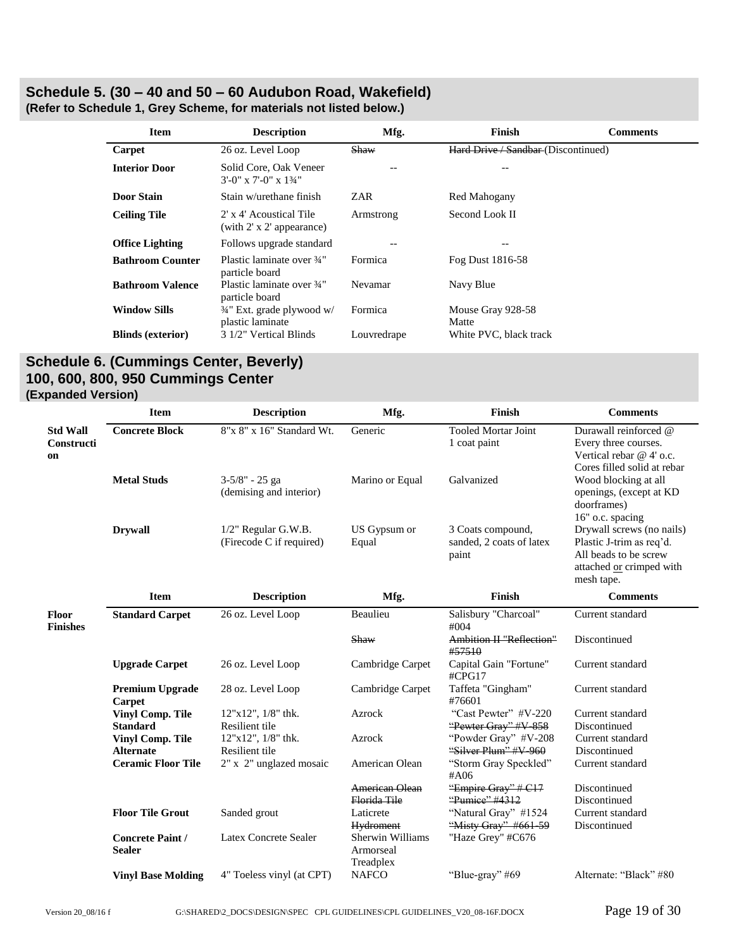# <span id="page-18-0"></span>**Schedule 5. (30 – 40 and 50 – 60 Audubon Road, Wakefield)**

| <b>Item</b>              | <b>Description</b>                                        | Mfg.        | Finish                              | <b>Comments</b> |
|--------------------------|-----------------------------------------------------------|-------------|-------------------------------------|-----------------|
| Carpet                   | 26 oz. Level Loop                                         | Shaw        | Hard Drive / Sandbar (Discontinued) |                 |
| <b>Interior Door</b>     | Solid Core, Oak Veneer<br>$3'$ -0" x 7'-0" x 13/4"        | --          | --                                  |                 |
| <b>Door Stain</b>        | Stain w/urethane finish                                   | ZAR         | Red Mahogany                        |                 |
| <b>Ceiling Tile</b>      | 2' x 4' Acoustical Tile<br>(with 2' x 2' appearance)      | Armstrong   | Second Look II                      |                 |
| <b>Office Lighting</b>   | Follows upgrade standard                                  |             |                                     |                 |
| <b>Bathroom Counter</b>  | Plastic laminate over 3/4"<br>particle board              | Formica     | Fog Dust 1816-58                    |                 |
| <b>Bathroom Valence</b>  | Plastic laminate over 3/4"<br>particle board              | Nevamar     | Navy Blue                           |                 |
| <b>Window Sills</b>      | $\frac{3}{4}$ " Ext. grade plywood w/<br>plastic laminate | Formica     | Mouse Gray 928-58<br>Matte          |                 |
| <b>Blinds (exterior)</b> | 3 1/2" Vertical Blinds                                    | Louvredrape | White PVC, black track              |                 |
|                          |                                                           |             |                                     |                 |

**(Refer to Schedule 1, Grey Scheme, for materials not listed below.)**

# <span id="page-18-1"></span>**Schedule 6. (Cummings Center, Beverly) 100, 600, 800, 950 Cummings Center (Expanded Version)**

|                                            | <b>Item</b>                                 | <b>Description</b>                                 | Mfg.                                       | Finish                                                 | <b>Comments</b>                                                                                                          |
|--------------------------------------------|---------------------------------------------|----------------------------------------------------|--------------------------------------------|--------------------------------------------------------|--------------------------------------------------------------------------------------------------------------------------|
| <b>Std Wall</b><br><b>Constructi</b><br>on | <b>Concrete Block</b>                       | 8"x 8" x 16" Standard Wt.                          | Generic                                    | <b>Tooled Mortar Joint</b><br>1 coat paint             | Durawall reinforced @<br>Every three courses.<br>Vertical rebar @ 4' o.c.<br>Cores filled solid at rebar                 |
|                                            | <b>Metal Studs</b>                          | 3-5/8" - 25 ga<br>(demising and interior)          | Marino or Equal                            | Galvanized                                             | Wood blocking at all<br>openings, (except at KD<br>doorframes)<br>16" o.c. spacing                                       |
|                                            | <b>Drywall</b>                              | $1/2$ " Regular G.W.B.<br>(Firecode C if required) | US Gypsum or<br>Equal                      | 3 Coats compound,<br>sanded, 2 coats of latex<br>paint | Drywall screws (no nails)<br>Plastic J-trim as req'd.<br>All beads to be screw<br>attached or crimped with<br>mesh tape. |
|                                            | <b>Item</b>                                 | <b>Description</b>                                 | Mfg.                                       | Finish                                                 | <b>Comments</b>                                                                                                          |
| Floor<br><b>Finishes</b>                   | <b>Standard Carpet</b>                      | 26 oz. Level Loop                                  | Beaulieu                                   | Salisbury "Charcoal"<br>#004                           | Current standard                                                                                                         |
|                                            |                                             |                                                    | Shaw                                       | Ambition II "Reflection"<br>#57510                     | Discontinued                                                                                                             |
|                                            | <b>Upgrade Carpet</b>                       | 26 oz. Level Loop                                  | Cambridge Carpet                           | Capital Gain "Fortune"<br>#CPG17                       | Current standard                                                                                                         |
|                                            | <b>Premium Upgrade</b><br>Carpet            | 28 oz. Level Loop                                  | Cambridge Carpet                           | Taffeta "Gingham"<br>#76601                            | Current standard                                                                                                         |
|                                            | <b>Vinyl Comp. Tile</b>                     | $12"x12"$ , $1/8"$ thk.                            | Azrock                                     | "Cast Pewter" #V-220                                   | Current standard                                                                                                         |
|                                            | <b>Standard</b>                             | Resilient tile                                     |                                            | "Pewter Gray" #V-858                                   | Discontinued                                                                                                             |
|                                            | <b>Vinyl Comp. Tile</b><br><b>Alternate</b> | $12"x12"$ , $1/8"$ thk.<br>Resilient tile          | Azrock                                     | "Powder Gray" #V-208<br>"Silver Plum" #V-960           | Current standard<br>Discontinued                                                                                         |
|                                            | <b>Ceramic Floor Tile</b>                   | 2" x 2" unglazed mosaic                            | American Olean                             | "Storm Gray Speckled"<br>#A06                          | Current standard                                                                                                         |
|                                            |                                             |                                                    | <b>American Olean</b><br>Florida Tile      | "Empire Gray" # C17<br>"Pumice" #4312                  | Discontinued<br>Discontinued                                                                                             |
|                                            | <b>Floor Tile Grout</b>                     | Sanded grout                                       | Laticrete<br><b>Hydroment</b>              | "Natural Gray" #1524<br>"Misty Gray" #661-59           | Current standard<br>Discontinued                                                                                         |
|                                            | <b>Concrete Paint /</b><br><b>Sealer</b>    | Latex Concrete Sealer                              | Sherwin Williams<br>Armorseal<br>Treadplex | "Haze Grey" #C676                                      |                                                                                                                          |
|                                            | <b>Vinyl Base Molding</b>                   | 4" Toeless vinyl (at CPT)                          | <b>NAFCO</b>                               | "Blue-gray" #69                                        | Alternate: "Black" #80                                                                                                   |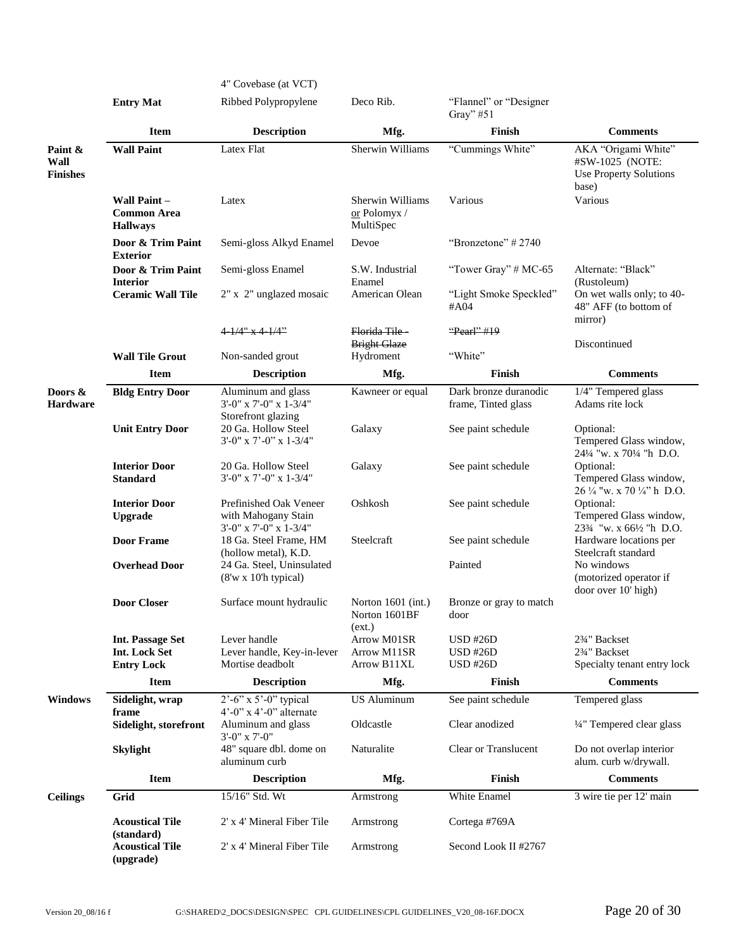|                                    |                                                              | 4" Covebase (at VCT)                                                       |                                                 |                                          |                                                                                        |
|------------------------------------|--------------------------------------------------------------|----------------------------------------------------------------------------|-------------------------------------------------|------------------------------------------|----------------------------------------------------------------------------------------|
|                                    | <b>Entry Mat</b>                                             | Ribbed Polypropylene                                                       | Deco Rib.                                       | "Flannel" or "Designer"<br>Gray" $#51$   |                                                                                        |
|                                    | <b>Item</b>                                                  | <b>Description</b>                                                         | Mfg.                                            | Finish                                   | <b>Comments</b>                                                                        |
| Paint &<br>Wall<br><b>Finishes</b> | <b>Wall Paint</b>                                            | Latex Flat                                                                 | Sherwin Williams                                | "Cummings White"                         | AKA "Origami White"<br>#SW-1025 (NOTE:<br><b>Use Property Solutions</b><br>base)       |
|                                    | <b>Wall Paint –</b><br><b>Common Area</b><br><b>Hallways</b> | Latex                                                                      | Sherwin Williams<br>or Polomyx /<br>MultiSpec   | Various                                  | Various                                                                                |
|                                    | Door & Trim Paint<br><b>Exterior</b>                         | Semi-gloss Alkyd Enamel                                                    | Devoe                                           | "Bronzetone" #2740                       |                                                                                        |
|                                    | Door & Trim Paint<br><b>Interior</b>                         | Semi-gloss Enamel                                                          | S.W. Industrial<br>Enamel                       | "Tower Gray" $# MC-65$                   | Alternate: "Black"<br>(Rustoleum)                                                      |
|                                    | <b>Ceramic Wall Tile</b>                                     | 2" x 2" unglazed mosaic                                                    | American Olean                                  | "Light Smoke Speckled"<br>#A04           | On wet walls only; to 40-<br>48" AFF (to bottom of<br>mirror)                          |
|                                    |                                                              | 4 <del>-1/4" x 4-1/4"</del>                                                | Florida Tile-                                   | "Pearl" #19                              |                                                                                        |
|                                    | <b>Wall Tile Grout</b>                                       | Non-sanded grout                                                           | <b>Bright Glaze</b><br>Hydroment                | "White"                                  | Discontinued                                                                           |
|                                    | <b>Item</b>                                                  | <b>Description</b>                                                         | Mfg.                                            | Finish                                   | <b>Comments</b>                                                                        |
| Doors &                            | <b>Bldg Entry Door</b>                                       | Aluminum and glass                                                         | Kawneer or equal                                | Dark bronze duranodic                    | 1/4" Tempered glass                                                                    |
| <b>Hardware</b>                    |                                                              | $3'-0''$ x $7'-0''$ x $1-3/4''$<br>Storefront glazing                      |                                                 | frame, Tinted glass                      | Adams rite lock                                                                        |
|                                    | <b>Unit Entry Door</b>                                       | 20 Ga. Hollow Steel<br>$3'-0''$ x $7'-0''$ x $1-3/4''$                     | Galaxy                                          | See paint schedule                       | Optional:<br>Tempered Glass window,<br>241/4 "w. x 701/4 "h D.O.                       |
|                                    | <b>Interior Door</b><br><b>Standard</b>                      | 20 Ga. Hollow Steel<br>3'-0" x 7'-0" x 1-3/4"                              | Galaxy                                          | See paint schedule                       | Optional:<br>Tempered Glass window,<br>$26\frac{1}{4}$ "w. x 70 $\frac{1}{4}$ " h D.O. |
|                                    | <b>Interior Door</b><br><b>Upgrade</b>                       | Prefinished Oak Veneer<br>with Mahogany Stain<br>$3'-0''$ x 7'-0" x 1-3/4" | Oshkosh                                         | See paint schedule                       | Optional:<br>Tempered Glass window,<br>233⁄4 "w. x 661⁄2 "h D.O.                       |
|                                    | <b>Door Frame</b>                                            | 18 Ga. Steel Frame, HM<br>(hollow metal), K.D.                             | Steelcraft                                      | See paint schedule                       | Hardware locations per<br>Steelcraft standard                                          |
|                                    | <b>Overhead Door</b>                                         | 24 Ga. Steel, Uninsulated<br>$(8'w \times 10'h$ typical)                   |                                                 | Painted                                  | No windows<br>(motorized operator if<br>door over 10' high)                            |
|                                    | <b>Door Closer</b>                                           | Surface mount hydraulic                                                    | Norton $1601$ (int.)<br>Norton 1601BF<br>(ext.) | Bronze or gray to match<br>$\text{door}$ |                                                                                        |
|                                    | <b>Int. Passage Set</b>                                      | Lever handle                                                               | Arrow M01SR                                     | <b>USD #26D</b>                          | 23/4" Backset                                                                          |
|                                    | <b>Int. Lock Set</b>                                         | Lever handle, Key-in-lever<br>Mortise deadbolt                             | Arrow M11SR<br>Arrow B11XL                      | <b>USD #26D</b><br><b>USD #26D</b>       | 23/4" Backset<br>Specialty tenant entry lock                                           |
|                                    | <b>Entry Lock</b><br><b>Item</b>                             | <b>Description</b>                                                         | Mfg.                                            | Finish                                   | <b>Comments</b>                                                                        |
| <b>Windows</b>                     | Sidelight, wrap                                              | $2^{\degree}$ -6" x 5'-0" typical                                          | <b>US Aluminum</b>                              | See paint schedule                       | Tempered glass                                                                         |
|                                    | frame                                                        | $4^{\circ}$ -0" x $4^{\circ}$ -0" alternate                                |                                                 |                                          |                                                                                        |
|                                    | Sidelight, storefront                                        | Aluminum and glass<br>$3'$ -0" x 7'-0"                                     | Oldcastle                                       | Clear anodized                           | 1/4" Tempered clear glass                                                              |
|                                    | <b>Skylight</b>                                              | 48" square dbl. dome on<br>aluminum curb                                   | Naturalite                                      | <b>Clear or Translucent</b>              | Do not overlap interior<br>alum. curb w/drywall.                                       |
|                                    | <b>Item</b>                                                  | <b>Description</b>                                                         | Mfg.                                            | Finish                                   | <b>Comments</b>                                                                        |
| <b>Ceilings</b>                    | Grid                                                         | 15/16" Std. Wt                                                             | Armstrong                                       | White Enamel                             | 3 wire tie per 12' main                                                                |
|                                    | <b>Acoustical Tile</b><br>(standard)                         | 2' x 4' Mineral Fiber Tile                                                 | Armstrong                                       | Cortega #769A                            |                                                                                        |
|                                    | <b>Acoustical Tile</b><br>(upgrade)                          | 2' x 4' Mineral Fiber Tile                                                 | Armstrong                                       | Second Look II #2767                     |                                                                                        |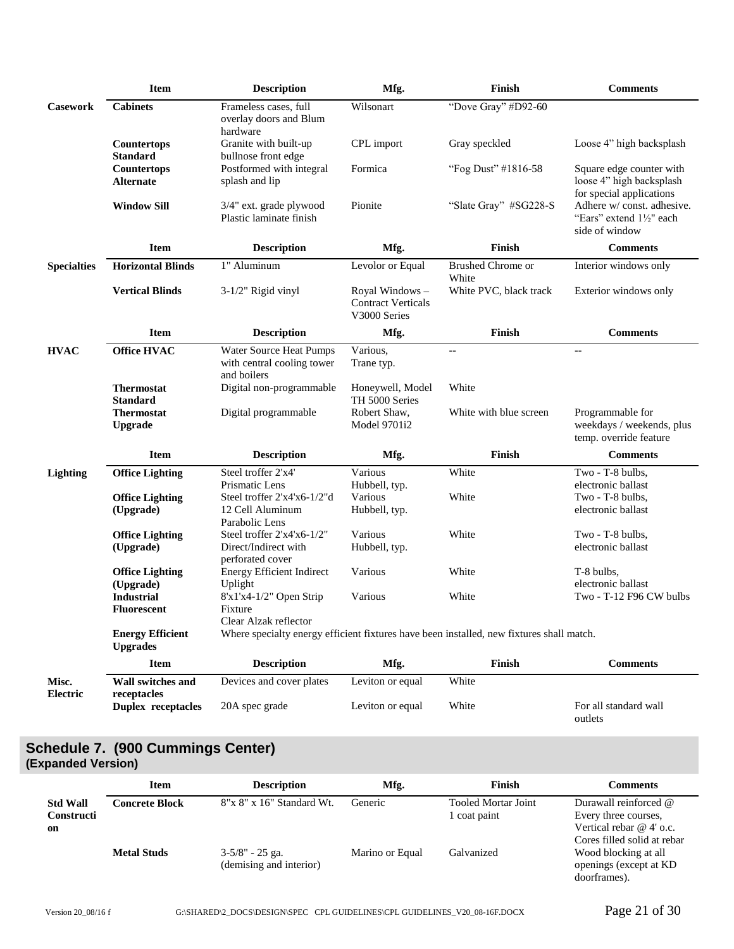|                    | <b>Item</b>                                | <b>Description</b>                                                     | Mfg.                                                         | Finish                                                                                   | <b>Comments</b>                                                                  |
|--------------------|--------------------------------------------|------------------------------------------------------------------------|--------------------------------------------------------------|------------------------------------------------------------------------------------------|----------------------------------------------------------------------------------|
| <b>Casework</b>    | <b>Cabinets</b>                            | Frameless cases, full<br>overlay doors and Blum<br>hardware            | Wilsonart                                                    | "Dove Gray" #D92-60                                                                      |                                                                                  |
|                    | Countertops<br><b>Standard</b>             | Granite with built-up<br>bullnose front edge                           | CPL import                                                   | Gray speckled                                                                            | Loose 4" high backsplash                                                         |
|                    | Countertops<br><b>Alternate</b>            | Postformed with integral<br>splash and lip                             | Formica                                                      | "Fog Dust" #1816-58                                                                      | Square edge counter with<br>loose 4" high backsplash<br>for special applications |
|                    | <b>Window Sill</b>                         | 3/4" ext. grade plywood<br>Plastic laminate finish                     | Pionite                                                      | "Slate Gray" #SG228-S                                                                    | Adhere w/const. adhesive.<br>"Ears" extend 11/2" each<br>side of window          |
|                    | <b>Item</b>                                | <b>Description</b>                                                     | Mfg.                                                         | Finish                                                                                   | <b>Comments</b>                                                                  |
| <b>Specialties</b> | <b>Horizontal Blinds</b>                   | 1" Aluminum                                                            | Levolor or Equal                                             | <b>Brushed</b> Chrome or<br>White                                                        | Interior windows only                                                            |
|                    | <b>Vertical Blinds</b>                     | $3-1/2$ " Rigid vinyl                                                  | Royal Windows -<br><b>Contract Verticals</b><br>V3000 Series | White PVC, black track                                                                   | Exterior windows only                                                            |
|                    | <b>Item</b>                                | <b>Description</b>                                                     | Mfg.                                                         | Finish                                                                                   | <b>Comments</b>                                                                  |
| <b>HVAC</b>        | <b>Office HVAC</b>                         | Water Source Heat Pumps<br>with central cooling tower<br>and boilers   | Various,<br>Trane typ.                                       | $\overline{\phantom{a}}$                                                                 | $-$                                                                              |
|                    | <b>Thermostat</b><br><b>Standard</b>       | Digital non-programmable                                               | Honeywell, Model<br>TH 5000 Series                           | White                                                                                    |                                                                                  |
|                    | <b>Thermostat</b><br><b>Upgrade</b>        | Digital programmable                                                   | Robert Shaw,<br>Model 9701i2                                 | White with blue screen                                                                   | Programmable for<br>weekdays / weekends, plus<br>temp. override feature          |
|                    | <b>Item</b>                                | <b>Description</b>                                                     | Mfg.                                                         | Finish                                                                                   | <b>Comments</b>                                                                  |
| <b>Lighting</b>    | <b>Office Lighting</b>                     | Steel troffer 2'x4'<br>Prismatic Lens                                  | Various<br>Hubbell, typ.                                     | White                                                                                    | Two - T-8 bulbs,<br>electronic ballast                                           |
|                    | <b>Office Lighting</b><br>(Upgrade)        | Steel troffer 2'x4'x6-1/2"d<br>12 Cell Aluminum<br>Parabolic Lens      | Various<br>Hubbell, typ.                                     | White                                                                                    | Two - T-8 bulbs,<br>electronic ballast                                           |
|                    | <b>Office Lighting</b><br>(Upgrade)        | Steel troffer 2'x4'x6-1/2"<br>Direct/Indirect with<br>perforated cover | Various<br>Hubbell, typ.                                     | White                                                                                    | Two - T-8 bulbs,<br>electronic ballast                                           |
|                    | <b>Office Lighting</b><br>(Upgrade)        | <b>Energy Efficient Indirect</b><br>Uplight                            | Various                                                      | White                                                                                    | T-8 bulbs,<br>electronic ballast                                                 |
|                    | <b>Industrial</b><br><b>Fluorescent</b>    | $8'x1'x4-1/2"$ Open Strip<br>Fixture<br>Clear Alzak reflector          | Various                                                      | White                                                                                    | Two - T-12 F96 CW bulbs                                                          |
|                    | <b>Energy Efficient</b><br><b>Upgrades</b> |                                                                        |                                                              | Where specialty energy efficient fixtures have been installed, new fixtures shall match. |                                                                                  |
|                    | <b>Item</b>                                | <b>Description</b>                                                     | Mfg.                                                         | Finish                                                                                   | <b>Comments</b>                                                                  |
| Misc.<br>Electric  | Wall switches and<br>receptacles           | Devices and cover plates                                               | Leviton or equal                                             | White                                                                                    |                                                                                  |
|                    | <b>Duplex receptacles</b>                  | 20A spec grade                                                         | Leviton or equal                                             | White                                                                                    | For all standard wall<br>outlets                                                 |

# <span id="page-20-0"></span>**Schedule 7. (900 Cummings Center) (Expanded Version)**

|                                            | <b>Item</b>        | <b>Description</b>                            | Mfg.            | Finish                                     | <b>Comments</b>                                                                                             |
|--------------------------------------------|--------------------|-----------------------------------------------|-----------------|--------------------------------------------|-------------------------------------------------------------------------------------------------------------|
| <b>Std Wall</b><br><b>Constructi</b><br>on | Concrete Block     | 8"x 8" x 16" Standard Wt.                     | Generic         | <b>Tooled Mortar Joint</b><br>1 coat paint | Durawall reinforced $@$<br>Every three courses,<br>Vertical rebar $@4'$ o.c.<br>Cores filled solid at rebar |
|                                            | <b>Metal Studs</b> | $3-5/8$ " - 25 ga.<br>(demising and interior) | Marino or Equal | Galvanized                                 | Wood blocking at all<br>openings (except at KD<br>doorframes).                                              |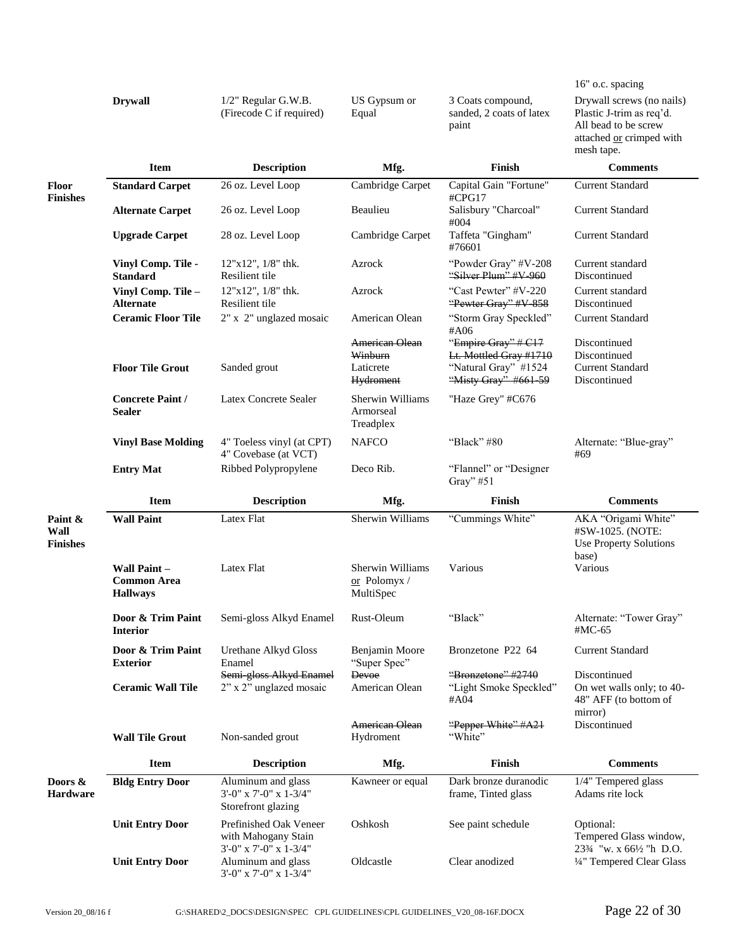|                                    |                                         |                                                                         |                                                            |                                                                                               | 16" o.c. spacing                                                                                                        |
|------------------------------------|-----------------------------------------|-------------------------------------------------------------------------|------------------------------------------------------------|-----------------------------------------------------------------------------------------------|-------------------------------------------------------------------------------------------------------------------------|
|                                    | <b>Drywall</b>                          | 1/2" Regular G.W.B.<br>(Firecode C if required)                         | US Gypsum or<br>Equal                                      | 3 Coats compound,<br>sanded, 2 coats of latex<br>paint                                        | Drywall screws (no nails)<br>Plastic J-trim as req'd.<br>All bead to be screw<br>attached or crimped with<br>mesh tape. |
|                                    | <b>Item</b>                             | <b>Description</b>                                                      | Mfg.                                                       | Finish                                                                                        | <b>Comments</b>                                                                                                         |
| Floor                              | <b>Standard Carpet</b>                  | 26 oz. Level Loop                                                       | Cambridge Carpet                                           | Capital Gain "Fortune"                                                                        | <b>Current Standard</b>                                                                                                 |
| <b>Finishes</b>                    | <b>Alternate Carpet</b>                 | 26 oz. Level Loop                                                       | Beaulieu                                                   | #CPG17<br>Salisbury "Charcoal"<br>#004                                                        | <b>Current Standard</b>                                                                                                 |
|                                    | <b>Upgrade Carpet</b>                   | 28 oz. Level Loop                                                       | Cambridge Carpet                                           | Taffeta "Gingham"<br>#76601                                                                   | <b>Current Standard</b>                                                                                                 |
|                                    | Vinyl Comp. Tile -<br><b>Standard</b>   | $12"x12"$ , $1/8"$ thk.<br>Resilient tile                               | Azrock                                                     | "Powder Gray" #V-208<br>"Silver Plum" #V-960                                                  | Current standard<br>Discontinued                                                                                        |
|                                    | Vinyl Comp. Tile -<br><b>Alternate</b>  | 12"x12", 1/8" thk.<br>Resilient tile                                    | Azrock                                                     | "Cast Pewter" #V-220<br>"Pewter Gray" #V-858                                                  | Current standard<br>Discontinued                                                                                        |
|                                    | <b>Ceramic Floor Tile</b>               | 2" x 2" unglazed mosaic                                                 | American Olean                                             | "Storm Gray Speckled"<br>#A06                                                                 | <b>Current Standard</b>                                                                                                 |
|                                    | <b>Floor Tile Grout</b>                 | Sanded grout                                                            | American Olean<br>Winburn<br>Laticrete<br><b>Hydroment</b> | "Empire Gray" # C17<br>Lt. Mottled Gray #1710<br>"Natural Gray" #1524<br>"Misty Gray" #661-59 | Discontinued<br>Discontinued<br><b>Current Standard</b><br>Discontinued                                                 |
|                                    | <b>Concrete Paint/</b><br><b>Sealer</b> | Latex Concrete Sealer                                                   | Sherwin Williams<br>Armorseal<br>Treadplex                 | "Haze Grey" #C676                                                                             |                                                                                                                         |
|                                    | <b>Vinyl Base Molding</b>               | 4" Toeless vinyl (at CPT)<br>4" Covebase (at VCT)                       | <b>NAFCO</b>                                               | "Black" #80                                                                                   | Alternate: "Blue-gray"<br>#69                                                                                           |
|                                    | <b>Entry Mat</b>                        | Ribbed Polypropylene                                                    | Deco Rib.                                                  | "Flannel" or "Designer                                                                        |                                                                                                                         |
|                                    |                                         |                                                                         |                                                            | Gray" $#51$                                                                                   |                                                                                                                         |
|                                    | <b>Item</b>                             | <b>Description</b>                                                      | Mfg.                                                       | Finish                                                                                        | <b>Comments</b>                                                                                                         |
| Paint &<br>Wall<br><b>Finishes</b> | <b>Wall Paint</b><br>Wall Paint-        | Latex Flat<br>Latex Flat                                                | Sherwin Williams<br>Sherwin Williams                       | "Cummings White"<br>Various                                                                   | AKA "Origami White"<br>#SW-1025. (NOTE:<br><b>Use Property Solutions</b><br>base)<br>Various                            |
|                                    | <b>Common Area</b><br><b>Hallways</b>   |                                                                         | or Polomyx/<br>MultiSpec                                   |                                                                                               |                                                                                                                         |
|                                    | Door & Trim Paint<br><b>Interior</b>    | Semi-gloss Alkyd Enamel                                                 | Rust-Oleum                                                 | "Black"                                                                                       | Alternate: "Tower Gray"<br>#MC-65                                                                                       |
|                                    | Door & Trim Paint<br><b>Exterior</b>    | Urethane Alkyd Gloss<br>Enamel                                          | Benjamin Moore<br>"Super Spec"                             | Bronzetone P22 64                                                                             | <b>Current Standard</b>                                                                                                 |
|                                    | <b>Ceramic Wall Tile</b>                | Semi-gloss Alkyd Enamel<br>2" x 2" unglazed mosaic                      | Devoe<br>American Olean                                    | "Bronzetone" #2740<br>"Light Smoke Speckled"<br>#A04                                          | Discontinued<br>On wet walls only; to 40-<br>48" AFF (to bottom of                                                      |
|                                    | <b>Wall Tile Grout</b>                  | Non-sanded grout                                                        | American Olean<br>Hydroment                                | "Pepper White" #A21<br>"White"                                                                | mirror)<br>Discontinued                                                                                                 |
|                                    | <b>Item</b>                             | <b>Description</b>                                                      | Mfg.                                                       | Finish                                                                                        | <b>Comments</b>                                                                                                         |
| Doors &<br><b>Hardware</b>         | <b>Bldg Entry Door</b>                  | Aluminum and glass<br>3'-0" x 7'-0" x 1-3/4"<br>Storefront glazing      | Kawneer or equal                                           | Dark bronze duranodic<br>frame, Tinted glass                                                  | 1/4" Tempered glass<br>Adams rite lock                                                                                  |
|                                    | <b>Unit Entry Door</b>                  | Prefinished Oak Veneer<br>with Mahogany Stain<br>3'-0" x 7'-0" x 1-3/4" | Oshkosh                                                    | See paint schedule                                                                            | Optional:<br>Tempered Glass window,<br>233⁄4 "w. x 661⁄2 "h D.O.                                                        |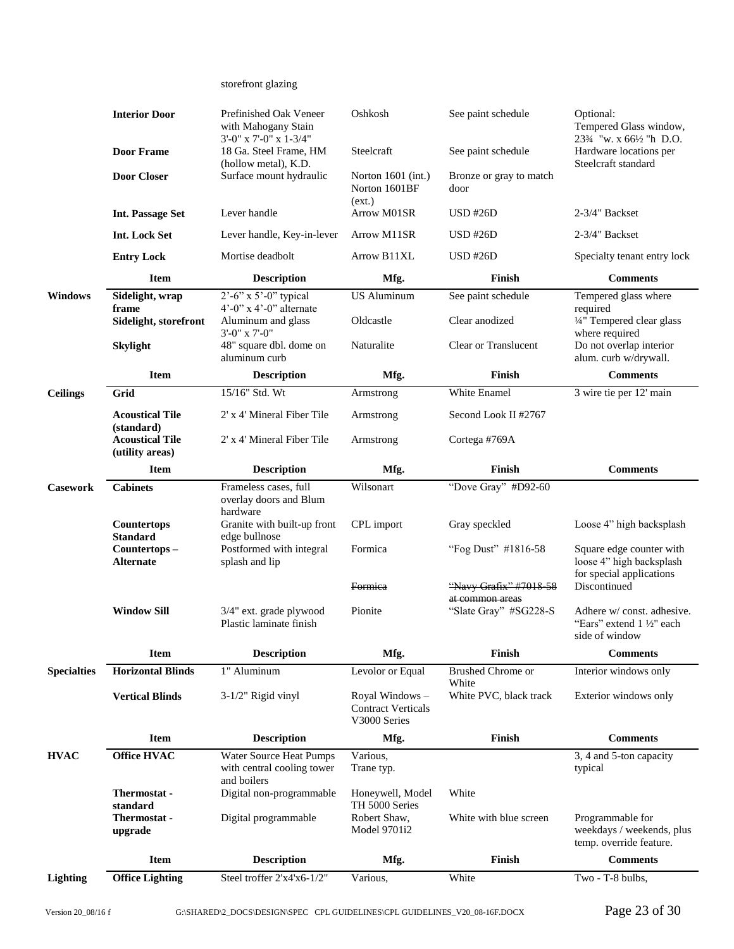| storefront glazing |  |
|--------------------|--|
|--------------------|--|

|                    | <b>Interior Door</b>                      | Prefinished Oak Veneer<br>with Mahogany Stain                                    | Oshkosh                                                      | See paint schedule                       | Optional:<br>Tempered Glass window,                                              |
|--------------------|-------------------------------------------|----------------------------------------------------------------------------------|--------------------------------------------------------------|------------------------------------------|----------------------------------------------------------------------------------|
|                    | <b>Door Frame</b>                         | 3'-0" x 7'-0" x 1-3/4"<br>18 Ga. Steel Frame, HM<br>(hollow metal), K.D.         | Steelcraft                                                   | See paint schedule                       | 233⁄4 "w. x 661⁄2 "h D.O.<br>Hardware locations per<br>Steelcraft standard       |
|                    | <b>Door Closer</b>                        | Surface mount hydraulic                                                          | Norton $1601$ (int.)<br>Norton 1601BF                        | Bronze or gray to match<br>door          |                                                                                  |
|                    | <b>Int. Passage Set</b>                   | Lever handle                                                                     | (ext.)<br>Arrow M01SR                                        | $USD$ #26 $D$                            | 2-3/4" Backset                                                                   |
|                    | Int. Lock Set                             | Lever handle, Key-in-lever                                                       | Arrow M11SR                                                  | <b>USD #26D</b>                          | 2-3/4" Backset                                                                   |
|                    | <b>Entry Lock</b>                         | Mortise deadbolt                                                                 | Arrow B11XL                                                  | $USD$ #26 $D$                            | Specialty tenant entry lock                                                      |
|                    | <b>Item</b>                               | <b>Description</b>                                                               | Mfg.                                                         | Finish                                   | <b>Comments</b>                                                                  |
| <b>Windows</b>     | Sidelight, wrap<br>frame                  | $2^{\degree}$ -6" x 5'-0" typical<br>$4^{\circ}$ -0" x $4^{\circ}$ -0" alternate | <b>US Aluminum</b>                                           | See paint schedule                       | Tempered glass where<br>required                                                 |
|                    | Sidelight, storefront                     | Aluminum and glass                                                               | Oldcastle                                                    | Clear anodized                           | 1/4" Tempered clear glass                                                        |
|                    | <b>Skylight</b>                           | $3'$ -0" x 7'-0"<br>48" square dbl. dome on<br>aluminum curb                     | Naturalite                                                   | <b>Clear or Translucent</b>              | where required<br>Do not overlap interior<br>alum. curb w/drywall.               |
|                    | <b>Item</b>                               | <b>Description</b>                                                               | Mfg.                                                         | <b>Finish</b>                            | <b>Comments</b>                                                                  |
| <b>Ceilings</b>    | Grid                                      | 15/16" Std. Wt                                                                   | Armstrong                                                    | White Enamel                             | 3 wire tie per 12' main                                                          |
|                    | <b>Acoustical Tile</b><br>(standard)      | 2' x 4' Mineral Fiber Tile                                                       | Armstrong                                                    | Second Look II #2767                     |                                                                                  |
|                    | <b>Acoustical Tile</b><br>(utility areas) | 2' x 4' Mineral Fiber Tile                                                       | Armstrong                                                    | Cortega #769A                            |                                                                                  |
|                    | <b>Item</b>                               | <b>Description</b>                                                               | Mfg.                                                         | Finish                                   | <b>Comments</b>                                                                  |
| <b>Casework</b>    | <b>Cabinets</b>                           | Frameless cases, full<br>overlay doors and Blum<br>hardware                      | Wilsonart                                                    | "Dove Gray" #D92-60                      |                                                                                  |
|                    | Countertops<br><b>Standard</b>            | Granite with built-up front<br>edge bullnose                                     | CPL import                                                   | Gray speckled                            | Loose 4" high backsplash                                                         |
|                    | Countertops-<br><b>Alternate</b>          | Postformed with integral<br>splash and lip                                       | Formica                                                      | "Fog Dust" #1816-58                      | Square edge counter with<br>loose 4" high backsplash<br>for special applications |
|                    |                                           |                                                                                  | <b>Formica</b>                                               | "Navy Grafix" #7018-58                   | Discontinued                                                                     |
|                    | <b>Window Sill</b>                        | 3/4" ext. grade plywood<br>Plastic laminate finish                               | Pionite                                                      | at common areas<br>"Slate Gray" #SG228-S | Adhere w/ const. adhesive.<br>"Ears" extend 1 1/2" each<br>side of window        |
|                    | <b>Item</b>                               | <b>Description</b>                                                               | Mfg.                                                         | Finish                                   | <b>Comments</b>                                                                  |
| <b>Specialties</b> | <b>Horizontal Blinds</b>                  | 1" Aluminum                                                                      | Levolor or Equal                                             | Brushed Chrome or<br>White               | Interior windows only                                                            |
|                    | <b>Vertical Blinds</b>                    | $3-1/2$ " Rigid vinyl                                                            | Royal Windows -<br><b>Contract Verticals</b><br>V3000 Series | White PVC, black track                   | Exterior windows only                                                            |
|                    | <b>Item</b>                               | <b>Description</b>                                                               | Mfg.                                                         | Finish                                   | <b>Comments</b>                                                                  |
| <b>HVAC</b>        | <b>Office HVAC</b>                        | Water Source Heat Pumps<br>with central cooling tower<br>and boilers             | Various,<br>Trane typ.                                       |                                          | 3, 4 and 5-ton capacity<br>typical                                               |
|                    | Thermostat -<br>standard                  | Digital non-programmable                                                         | Honeywell, Model<br>TH 5000 Series                           | White                                    |                                                                                  |
|                    | Thermostat -<br>upgrade                   | Digital programmable                                                             | Robert Shaw,<br>Model 9701i2                                 | White with blue screen                   | Programmable for<br>weekdays / weekends, plus<br>temp. override feature.         |
|                    | Item                                      | <b>Description</b>                                                               | Mfg.                                                         | Finish                                   | <b>Comments</b>                                                                  |
| Lighting           | <b>Office Lighting</b>                    | Steel troffer 2'x4'x6-1/2"                                                       | Various,                                                     | White                                    | Two - T-8 bulbs,                                                                 |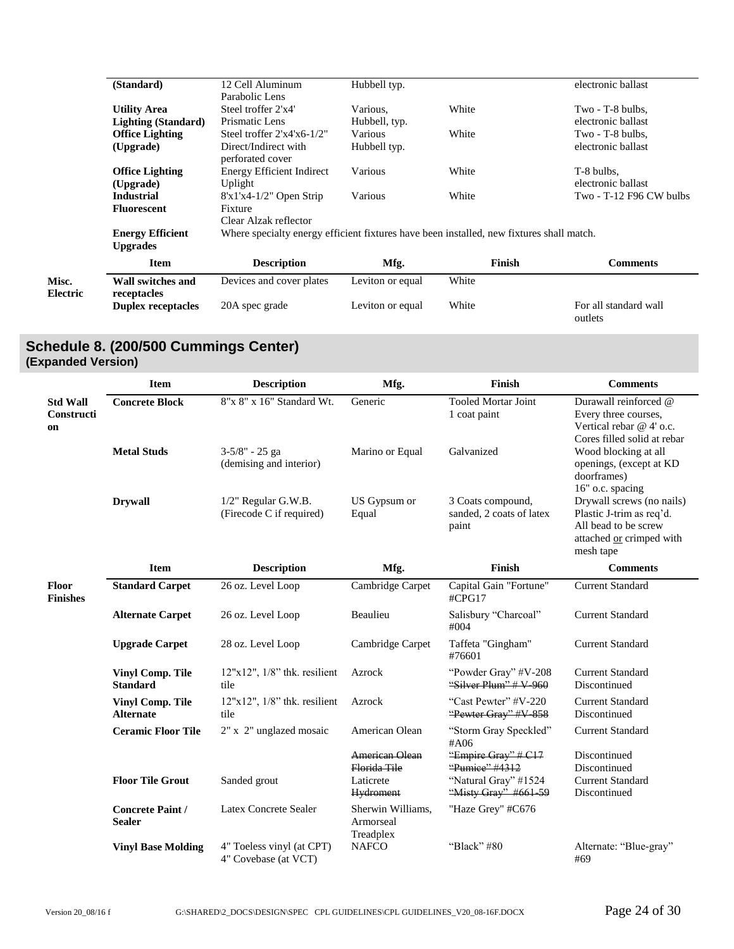|                   | (Standard)                                 | 12 Cell Aluminum<br>Parabolic Lens       | Hubbell typ.                                                                             |        | electronic ballast               |  |  |
|-------------------|--------------------------------------------|------------------------------------------|------------------------------------------------------------------------------------------|--------|----------------------------------|--|--|
|                   | <b>Utility Area</b>                        | Steel troffer 2'x4'                      | Various,                                                                                 | White  | Two - T-8 bulbs,                 |  |  |
|                   | <b>Lighting (Standard)</b>                 | Prismatic Lens                           | Hubbell, typ.                                                                            |        | electronic ballast               |  |  |
|                   | <b>Office Lighting</b>                     | Steel troffer 2'x4'x6-1/2"               | <b>Various</b>                                                                           | White  | Two - T-8 bulbs,                 |  |  |
|                   | (Upgrade)                                  | Direct/Indirect with<br>perforated cover | Hubbell typ.                                                                             |        | electronic ballast               |  |  |
|                   | <b>Office Lighting</b>                     | <b>Energy Efficient Indirect</b>         | Various                                                                                  | White  | T-8 bulbs,                       |  |  |
|                   | (Upgrade)                                  | Uplight                                  |                                                                                          |        | electronic ballast               |  |  |
|                   | <b>Industrial</b>                          | $8'x1'x4-1/2"$ Open Strip                | Various                                                                                  | White  | Two - T-12 F96 CW bulbs          |  |  |
|                   | <b>Fluorescent</b>                         | Fixture<br>Clear Alzak reflector         |                                                                                          |        |                                  |  |  |
|                   | <b>Energy Efficient</b><br><b>Upgrades</b> |                                          | Where specialty energy efficient fixtures have been installed, new fixtures shall match. |        |                                  |  |  |
|                   | <b>Item</b>                                | <b>Description</b>                       | Mfg.                                                                                     | Finish | <b>Comments</b>                  |  |  |
| Misc.<br>Electric | Wall switches and<br>receptacles           | Devices and cover plates                 | Leviton or equal                                                                         | White  |                                  |  |  |
|                   | <b>Duplex receptacles</b>                  | 20A spec grade                           | Leviton or equal                                                                         | White  | For all standard wall<br>outlets |  |  |

# <span id="page-23-0"></span>**Schedule 8. (200/500 Cummings Center) (Expanded Version)**

|                                     | <b>Item</b>                                 | <b>Description</b>                                | Mfg.                                        | Finish                                                 | <b>Comments</b>                                                                                                        |
|-------------------------------------|---------------------------------------------|---------------------------------------------------|---------------------------------------------|--------------------------------------------------------|------------------------------------------------------------------------------------------------------------------------|
| <b>Std Wall</b><br>Constructi<br>on | <b>Concrete Block</b>                       | 8"x 8" x 16" Standard Wt.                         | Generic                                     | <b>Tooled Mortar Joint</b><br>1 coat paint             | Durawall reinforced @<br>Every three courses,<br>Vertical rebar @ 4' o.c.<br>Cores filled solid at rebar               |
|                                     | <b>Metal Studs</b>                          | 3-5/8" - 25 ga<br>(demising and interior)         | Marino or Equal                             | Galvanized                                             | Wood blocking at all<br>openings, (except at KD<br>doorframes)<br>16" o.c. spacing                                     |
|                                     | <b>Drywall</b>                              | 1/2" Regular G.W.B.<br>(Firecode C if required)   | US Gypsum or<br>Equal                       | 3 Coats compound,<br>sanded, 2 coats of latex<br>paint | Drywall screws (no nails)<br>Plastic J-trim as req'd.<br>All bead to be screw<br>attached or crimped with<br>mesh tape |
|                                     | <b>Item</b>                                 | <b>Description</b>                                | Mfg.                                        | <b>Finish</b>                                          | <b>Comments</b>                                                                                                        |
| Floor<br><b>Finishes</b>            | <b>Standard Carpet</b>                      | 26 oz. Level Loop                                 | Cambridge Carpet                            | Capital Gain "Fortune"<br>#CPG17                       | <b>Current Standard</b>                                                                                                |
|                                     | <b>Alternate Carpet</b>                     | 26 oz. Level Loop                                 | Beaulieu                                    | Salisbury "Charcoal"<br>#004                           | <b>Current Standard</b>                                                                                                |
|                                     | <b>Upgrade Carpet</b>                       | 28 oz. Level Loop                                 | Cambridge Carpet                            | Taffeta "Gingham"<br>#76601                            | <b>Current Standard</b>                                                                                                |
|                                     | <b>Vinyl Comp. Tile</b><br><b>Standard</b>  | $12"x12"$ , $1/8"$ thk. resilient<br>tile         | Azrock                                      | "Powder Gray" #V-208<br>"Silver Plum" # V-960          | <b>Current Standard</b><br>Discontinued                                                                                |
|                                     | <b>Vinyl Comp. Tile</b><br><b>Alternate</b> | $12"x12"$ , $1/8"$ thk. resilient<br>tile         | Azrock                                      | "Cast Pewter" #V-220<br>"Pewter Gray" #V-858           | <b>Current Standard</b><br>Discontinued                                                                                |
|                                     | <b>Ceramic Floor Tile</b>                   | 2" x 2" unglazed mosaic                           | American Olean                              | "Storm Gray Speckled"<br>#A06                          | <b>Current Standard</b>                                                                                                |
|                                     |                                             |                                                   | <b>American Olean</b><br>Florida Tile       | "Empire Gray" # C17<br>"Pumice" #4312                  | Discontinued<br>Discontinued                                                                                           |
|                                     | <b>Floor Tile Grout</b>                     | Sanded grout                                      | Laticrete<br><b>Hydroment</b>               | "Natural Gray" #1524<br>"Misty Gray" #661-59           | <b>Current Standard</b><br>Discontinued                                                                                |
|                                     | <b>Concrete Paint /</b><br><b>Sealer</b>    | Latex Concrete Sealer                             | Sherwin Williams,<br>Armorseal<br>Treadplex | "Haze Grey" #C676                                      |                                                                                                                        |
|                                     | <b>Vinyl Base Molding</b>                   | 4" Toeless vinyl (at CPT)<br>4" Covebase (at VCT) | <b>NAFCO</b>                                | "Black" $#80$                                          | Alternate: "Blue-gray"<br>#69                                                                                          |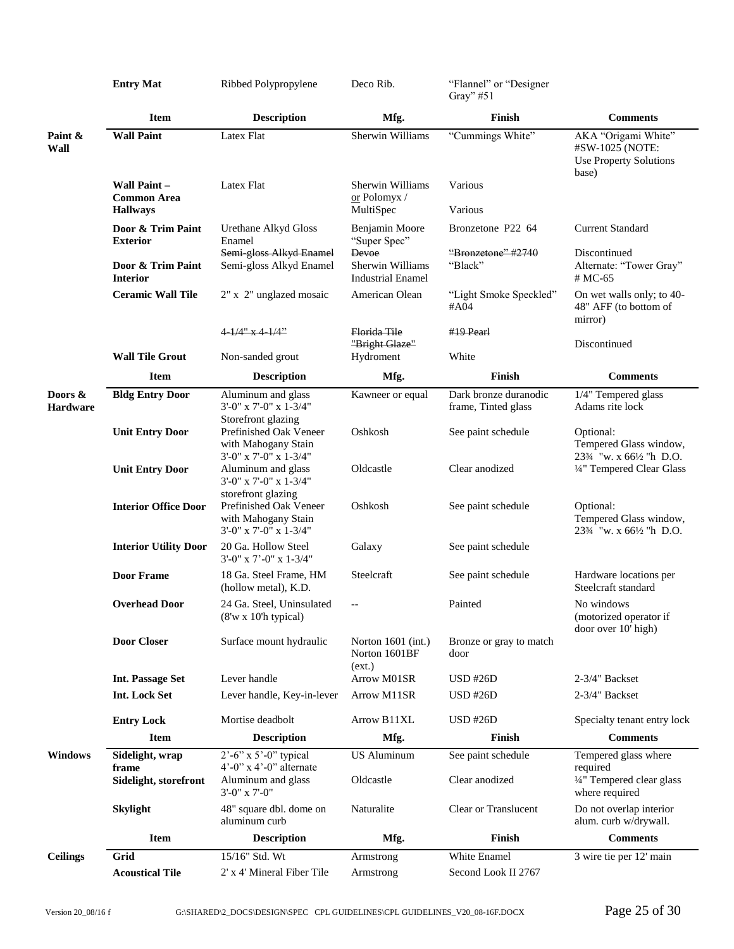|                            | <b>Entry Mat</b>                                      | Ribbed Polypropylene                                                                             | Deco Rib.                                             | "Flannel" or "Designer<br>Gray" #51          |                                                                                                                    |
|----------------------------|-------------------------------------------------------|--------------------------------------------------------------------------------------------------|-------------------------------------------------------|----------------------------------------------|--------------------------------------------------------------------------------------------------------------------|
|                            | <b>Item</b>                                           | <b>Description</b>                                                                               | Mfg.                                                  | Finish                                       | <b>Comments</b>                                                                                                    |
| Paint &<br>Wall            | <b>Wall Paint</b>                                     | Latex Flat                                                                                       | Sherwin Williams                                      | "Cummings White"                             | AKA "Origami White"<br>#SW-1025 (NOTE:<br>Use Property Solutions<br>base)                                          |
|                            | Wall Paint -<br><b>Common Area</b><br><b>Hallways</b> | Latex Flat                                                                                       | Sherwin Williams<br>or Polomyx /<br>MultiSpec         | Various<br>Various                           |                                                                                                                    |
|                            | Door & Trim Paint<br><b>Exterior</b>                  | Urethane Alkyd Gloss<br>Enamel                                                                   | Benjamin Moore<br>"Super Spec"                        | Bronzetone P22 64                            | <b>Current Standard</b>                                                                                            |
|                            | Door & Trim Paint<br><b>Interior</b>                  | Semi-gloss Alkyd Enamel<br>Semi-gloss Alkyd Enamel                                               | Devoe<br>Sherwin Williams<br><b>Industrial Enamel</b> | "Bronzetone" #2740<br>"Black"                | Discontinued<br>Alternate: "Tower Gray"<br># MC-65                                                                 |
|                            | <b>Ceramic Wall Tile</b>                              | 2" x 2" unglazed mosaic                                                                          | American Olean                                        | "Light Smoke Speckled"<br>#A04               | On wet walls only; to 40-<br>48" AFF (to bottom of                                                                 |
|                            |                                                       | $4 - 1/4$ " x $4 - 1/4$ "                                                                        | Florida Tile<br>"Bright Glaze"                        | $#19$ Pearl                                  | mirror)<br>Discontinued                                                                                            |
|                            | <b>Wall Tile Grout</b>                                | Non-sanded grout                                                                                 | Hydroment                                             | White                                        |                                                                                                                    |
|                            | <b>Item</b>                                           | <b>Description</b>                                                                               | Mfg.                                                  | Finish                                       | <b>Comments</b>                                                                                                    |
| Doors &<br><b>Hardware</b> | <b>Bldg Entry Door</b>                                | Aluminum and glass<br>3'-0" x 7'-0" x 1-3/4"                                                     | Kawneer or equal                                      | Dark bronze duranodic<br>frame, Tinted glass | 1/4" Tempered glass<br>Adams rite lock                                                                             |
|                            | <b>Unit Entry Door</b>                                | Storefront glazing<br>Prefinished Oak Veneer<br>with Mahogany Stain<br>$3'-0''$ x 7'-0" x 1-3/4" | Oshkosh                                               | See paint schedule                           | Optional:<br>Tempered Glass window,<br>233⁄4 "w. x 661⁄2 "h D.O.                                                   |
|                            | <b>Unit Entry Door</b>                                | Aluminum and glass<br>3'-0" x 7'-0" x 1-3/4"                                                     | Oldcastle                                             | Clear anodized                               | 1/4" Tempered Clear Glass                                                                                          |
|                            | <b>Interior Office Door</b>                           | storefront glazing<br>Prefinished Oak Veneer<br>with Mahogany Stain<br>3'-0" x 7'-0" x 1-3/4"    | Oshkosh                                               | See paint schedule                           | Optional:<br>Tempered Glass window,<br>23 <sup>3</sup> / <sub>4</sub> "w. x 66 <sup>1</sup> / <sub>2</sub> "h D.O. |
|                            | <b>Interior Utility Door</b>                          | 20 Ga. Hollow Steel<br>$3'$ -0" x 7'-0" x 1-3/4"                                                 | Galaxy                                                | See paint schedule                           |                                                                                                                    |
|                            | <b>Door Frame</b>                                     | 18 Ga. Steel Frame, HM<br>(hollow metal), K.D.                                                   | Steelcraft                                            | See paint schedule                           | Hardware locations per<br>Steelcraft standard                                                                      |
|                            | <b>Overhead Door</b>                                  | 24 Ga. Steel, Uninsulated<br>$(8'w \times 10'h$ typical)                                         | $-$                                                   | Painted                                      | No windows<br>(motorized operator if<br>door over 10' high)                                                        |
|                            | <b>Door Closer</b>                                    | Surface mount hydraulic                                                                          | Norton 1601 (int.)<br>Norton 1601BF<br>(ext.)         | Bronze or gray to match<br>door              |                                                                                                                    |
|                            | <b>Int. Passage Set</b>                               | Lever handle                                                                                     | Arrow M01SR                                           | $USD$ #26 $D$                                | 2-3/4" Backset                                                                                                     |
|                            | Int. Lock Set                                         | Lever handle, Key-in-lever                                                                       | Arrow M11SR                                           | <b>USD #26D</b>                              | 2-3/4" Backset                                                                                                     |
|                            | <b>Entry Lock</b>                                     | Mortise deadbolt                                                                                 | Arrow B11XL                                           | <b>USD #26D</b>                              | Specialty tenant entry lock                                                                                        |
|                            | <b>Item</b>                                           | <b>Description</b>                                                                               | Mfg.                                                  | <b>Finish</b>                                | <b>Comments</b>                                                                                                    |
| <b>Windows</b>             | Sidelight, wrap<br>frame                              | $2^{\degree}$ -6" x 5 $^{\degree}$ -0" typical<br>$4^{\circ}$ -0" x $4^{\circ}$ -0" alternate    | <b>US Aluminum</b>                                    | See paint schedule                           | Tempered glass where<br>required                                                                                   |
|                            | Sidelight, storefront                                 | Aluminum and glass<br>$3'$ -0" x 7'-0"                                                           | Oldcastle                                             | Clear anodized                               | 1/4" Tempered clear glass<br>where required                                                                        |
|                            | <b>Skylight</b>                                       | 48" square dbl. dome on<br>aluminum curb                                                         | Naturalite                                            | Clear or Translucent                         | Do not overlap interior<br>alum. curb w/drywall.                                                                   |
|                            | <b>Item</b>                                           | <b>Description</b>                                                                               | Mfg.                                                  | Finish                                       | <b>Comments</b>                                                                                                    |
| <b>Ceilings</b>            | Grid                                                  | 15/16" Std. Wt                                                                                   | Armstrong                                             | White Enamel                                 | 3 wire tie per 12' main                                                                                            |
|                            | <b>Acoustical Tile</b>                                | 2' x 4' Mineral Fiber Tile                                                                       | Armstrong                                             | Second Look II 2767                          |                                                                                                                    |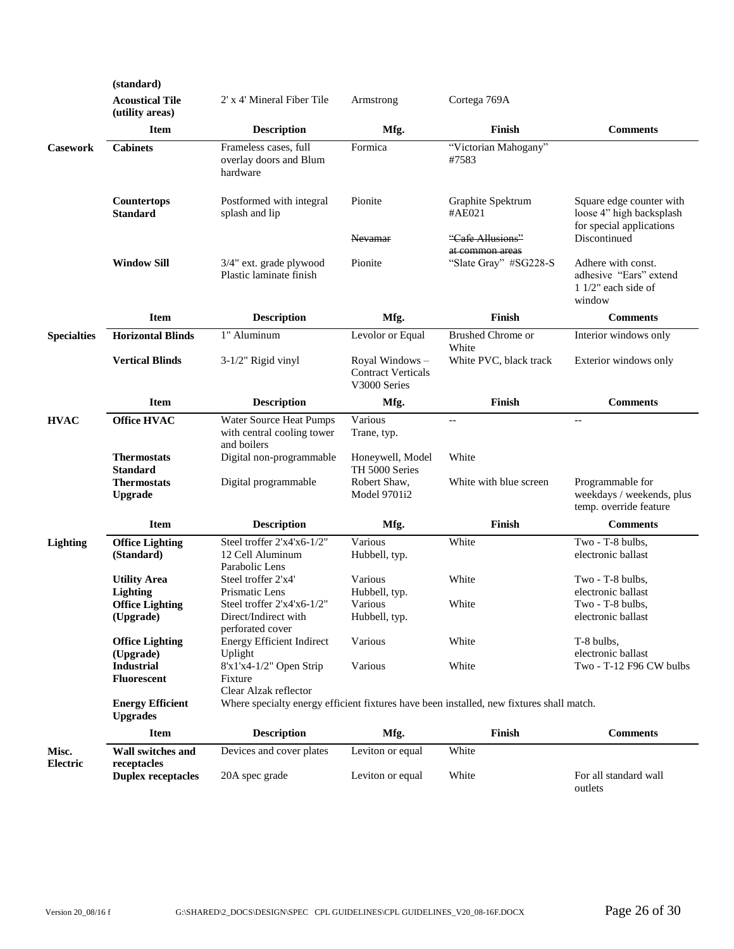|                          | (standard)                                 |                                                                        |                                                             |                                                                                          |                                                                                  |
|--------------------------|--------------------------------------------|------------------------------------------------------------------------|-------------------------------------------------------------|------------------------------------------------------------------------------------------|----------------------------------------------------------------------------------|
|                          | <b>Acoustical Tile</b><br>(utility areas)  | 2' x 4' Mineral Fiber Tile                                             | Armstrong                                                   | Cortega 769A                                                                             |                                                                                  |
|                          | <b>Item</b>                                | <b>Description</b>                                                     | Mfg.                                                        | Finish                                                                                   | <b>Comments</b>                                                                  |
| <b>Casework</b>          | <b>Cabinets</b>                            | Frameless cases, full<br>overlay doors and Blum<br>hardware            | Formica                                                     | "Victorian Mahogany"<br>#7583                                                            |                                                                                  |
|                          | Countertops<br><b>Standard</b>             | Postformed with integral<br>splash and lip                             | Pionite                                                     | Graphite Spektrum<br>#AE021                                                              | Square edge counter with<br>loose 4" high backsplash<br>for special applications |
|                          |                                            |                                                                        | Nevamar                                                     | "Cafe Allusions"<br>at common areas                                                      | Discontinued                                                                     |
|                          | <b>Window Sill</b>                         | 3/4" ext. grade plywood<br>Plastic laminate finish                     | Pionite                                                     | "Slate Gray" #SG228-S                                                                    | Adhere with const.<br>adhesive "Ears" extend<br>$11/2$ " each side of<br>window  |
|                          | <b>Item</b>                                | <b>Description</b>                                                     | Mfg.                                                        | Finish                                                                                   | <b>Comments</b>                                                                  |
| <b>Specialties</b>       | <b>Horizontal Blinds</b>                   | 1" Aluminum                                                            | Levolor or Equal                                            | <b>Brushed Chrome or</b><br>White                                                        | Interior windows only                                                            |
|                          | <b>Vertical Blinds</b>                     | $3-1/2$ " Rigid vinyl                                                  | Royal Windows-<br><b>Contract Verticals</b><br>V3000 Series | White PVC, black track                                                                   | Exterior windows only                                                            |
|                          | <b>Item</b>                                | <b>Description</b>                                                     | Mfg.                                                        | Finish                                                                                   | <b>Comments</b>                                                                  |
| <b>HVAC</b>              | <b>Office HVAC</b>                         | Water Source Heat Pumps<br>with central cooling tower<br>and boilers   | Various<br>Trane, typ.                                      | $-\, -$                                                                                  | $-$                                                                              |
|                          | <b>Thermostats</b><br><b>Standard</b>      | Digital non-programmable                                               | Honeywell, Model<br>TH 5000 Series                          | White                                                                                    |                                                                                  |
|                          | <b>Thermostats</b><br><b>Upgrade</b>       | Digital programmable                                                   | Robert Shaw,<br>Model 9701i2                                | White with blue screen                                                                   | Programmable for<br>weekdays / weekends, plus<br>temp. override feature          |
|                          | <b>Item</b>                                | <b>Description</b>                                                     | Mfg.                                                        | Finish                                                                                   | <b>Comments</b>                                                                  |
| <b>Lighting</b>          | <b>Office Lighting</b><br>(Standard)       | Steel troffer 2'x4'x6-1/2"<br>12 Cell Aluminum<br>Parabolic Lens       | Various<br>Hubbell, typ.                                    | White                                                                                    | Two - T-8 bulbs,<br>electronic ballast                                           |
|                          | <b>Utility Area</b><br><b>Lighting</b>     | Steel troffer 2'x4'<br>Prismatic Lens                                  | Various<br>Hubbell, typ.                                    | White                                                                                    | Two - T-8 bulbs,<br>electronic ballast                                           |
|                          | <b>Office Lighting</b><br>(Upgrade)        | Steel troffer 2'x4'x6-1/2"<br>Direct/Indirect with<br>perforated cover | Various<br>Hubbell, typ.                                    | White                                                                                    | Two - T-8 bulbs,<br>electronic ballast                                           |
|                          | <b>Office Lighting</b><br>(Upgrade)        | <b>Energy Efficient Indirect</b><br>Uplight                            | Various                                                     | White                                                                                    | T-8 bulbs,<br>electronic ballast                                                 |
|                          | <b>Industrial</b>                          | 8'x1'x4-1/2" Open Strip                                                | Various                                                     | White                                                                                    | Two - T-12 F96 CW bulbs                                                          |
|                          | Fluorescent                                | Fixture<br>Clear Alzak reflector                                       |                                                             |                                                                                          |                                                                                  |
|                          | <b>Energy Efficient</b><br><b>Upgrades</b> |                                                                        |                                                             | Where specialty energy efficient fixtures have been installed, new fixtures shall match. |                                                                                  |
|                          | <b>Item</b>                                | <b>Description</b>                                                     | Mfg.                                                        | Finish                                                                                   | <b>Comments</b>                                                                  |
| Misc.<br><b>Electric</b> | Wall switches and<br>receptacles           | Devices and cover plates                                               | Leviton or equal                                            | White                                                                                    |                                                                                  |
|                          | <b>Duplex receptacles</b>                  | 20A spec grade                                                         | Leviton or equal                                            | White                                                                                    | For all standard wall<br>outlets                                                 |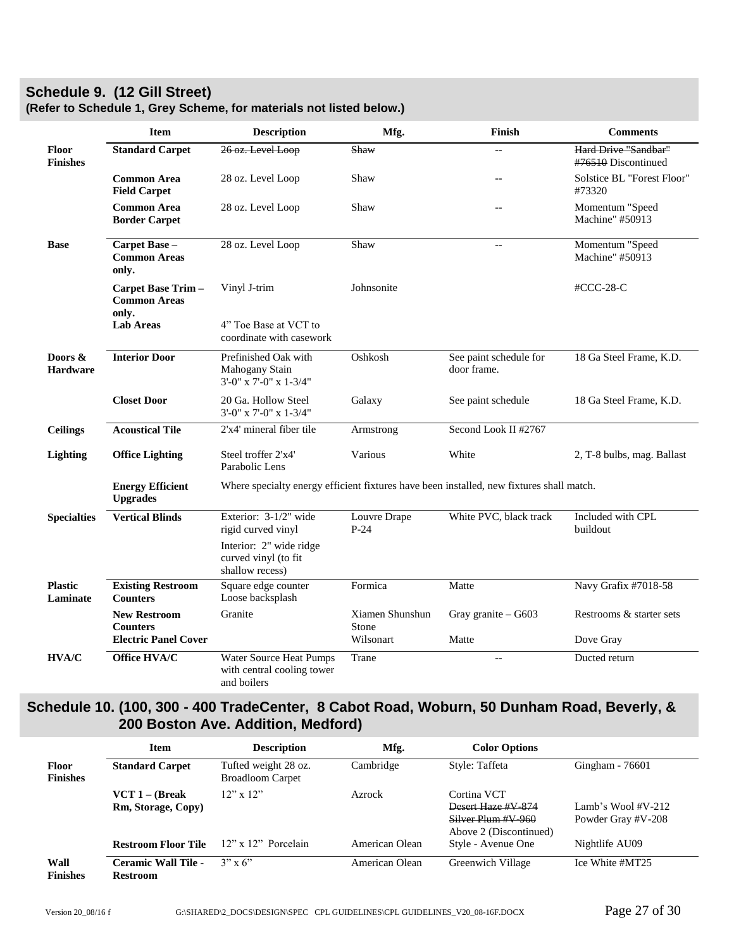# <span id="page-26-0"></span>**Schedule 9. (12 Gill Street)**

|                               | <b>Item</b>                                                           | <b>Description</b>                                                                       | Mfg.                                  | Finish                                | <b>Comments</b>                             |  |
|-------------------------------|-----------------------------------------------------------------------|------------------------------------------------------------------------------------------|---------------------------------------|---------------------------------------|---------------------------------------------|--|
| Floor<br><b>Finishes</b>      | <b>Standard Carpet</b>                                                | 26 oz. Level Loop                                                                        | Shaw                                  | $\sim$                                | Hard Drive "Sandbar"<br>#76510 Discontinued |  |
|                               | <b>Common Area</b><br><b>Field Carpet</b>                             | 28 oz. Level Loop                                                                        | Shaw                                  | $-$                                   | Solstice BL "Forest Floor"<br>#73320        |  |
|                               | <b>Common Area</b><br><b>Border Carpet</b>                            | 28 oz. Level Loop                                                                        | Shaw                                  | $\overline{\phantom{m}}$              | Momentum "Speed<br>Machine" #50913          |  |
| <b>Base</b>                   | Carpet Base -<br><b>Common Areas</b><br>only.                         | 28 oz. Level Loop                                                                        | Shaw                                  | $\overline{\phantom{a}}$              | Momentum "Speed<br>Machine" #50913          |  |
|                               | Carpet Base Trim-<br><b>Common Areas</b><br>only.                     | Vinyl J-trim                                                                             | Johnsonite                            |                                       | $\#CCC-28-C$                                |  |
|                               | <b>Lab Areas</b>                                                      | 4" Toe Base at VCT to<br>coordinate with casework                                        |                                       |                                       |                                             |  |
| Doors $\&$<br><b>Hardware</b> | <b>Interior Door</b>                                                  | Prefinished Oak with<br>Mahogany Stain<br>$3'-0''$ x 7'-0" x 1-3/4"                      | Oshkosh                               | See paint schedule for<br>door frame. | 18 Ga Steel Frame, K.D.                     |  |
|                               | <b>Closet Door</b>                                                    | 20 Ga. Hollow Steel<br>$3'$ -0" x 7'-0" x 1-3/4"                                         | Galaxy                                | See paint schedule                    | 18 Ga Steel Frame, K.D.                     |  |
| <b>Ceilings</b>               | <b>Acoustical Tile</b>                                                | 2'x4' mineral fiber tile                                                                 | Armstrong                             | Second Look II #2767                  |                                             |  |
| Lighting                      | <b>Office Lighting</b>                                                | Steel troffer 2'x4'<br>Parabolic Lens                                                    | Various                               | White                                 | 2, T-8 bulbs, mag. Ballast                  |  |
|                               | <b>Energy Efficient</b><br><b>Upgrades</b>                            | Where specialty energy efficient fixtures have been installed, new fixtures shall match. |                                       |                                       |                                             |  |
| <b>Specialties</b>            | <b>Vertical Blinds</b>                                                | Exterior: 3-1/2" wide<br>rigid curved vinyl                                              | Louvre Drape<br>$P-24$                | White PVC, black track                | Included with CPL<br>buildout               |  |
|                               |                                                                       | Interior: 2" wide ridge<br>curved vinyl (to fit<br>shallow recess)                       |                                       |                                       |                                             |  |
| <b>Plastic</b><br>Laminate    | <b>Existing Restroom</b><br><b>Counters</b>                           | Square edge counter<br>Loose backsplash                                                  | Formica                               | Matte                                 | Navy Grafix #7018-58                        |  |
|                               | <b>New Restroom</b><br><b>Counters</b><br><b>Electric Panel Cover</b> | Granite                                                                                  | Xiamen Shunshun<br>Stone<br>Wilsonart | Gray granite - G603<br>Matte          | Restrooms & starter sets<br>Dove Gray       |  |
| HVA/C                         | Office HVA/C                                                          | Water Source Heat Pumps<br>with central cooling tower<br>and boilers                     | Trane                                 | $-$                                   | Ducted return                               |  |

# **(Refer to Schedule 1, Grey Scheme, for materials not listed below.)**

# <span id="page-26-1"></span>**Schedule 10. (100, 300 - 400 TradeCenter, 8 Cabot Road, Woburn, 50 Dunham Road, Beverly, & 200 Boston Ave. Addition, Medford)**

|                                 | <b>Item</b>                                   | <b>Description</b>                              | Mfg.           | <b>Color Options</b>                                                              |                                             |
|---------------------------------|-----------------------------------------------|-------------------------------------------------|----------------|-----------------------------------------------------------------------------------|---------------------------------------------|
| <b>Floor</b><br><b>Finishes</b> | <b>Standard Carpet</b>                        | Tufted weight 28 oz.<br><b>Broadloom Carpet</b> | Cambridge      | Style: Taffeta                                                                    | Gingham - 76601                             |
|                                 | $VCT 1 - (Break)$<br>Rm, Storage, Copy)       | $12"$ x $12"$                                   | Azrock         | Cortina VCT<br>Desert Haze #V-874<br>Silver Plum #V-960<br>Above 2 (Discontinued) | Lamb's Wool $\#V-212$<br>Powder Gray #V-208 |
|                                 | <b>Restroom Floor Tile</b>                    | $12$ " x $12$ " Porcelain                       | American Olean | Style - Avenue One                                                                | Nightlife AU09                              |
| Wall<br><b>Finishes</b>         | <b>Ceramic Wall Tile -</b><br><b>Restroom</b> | $3" \times 6"$                                  | American Olean | Greenwich Village                                                                 | Ice White #MT25                             |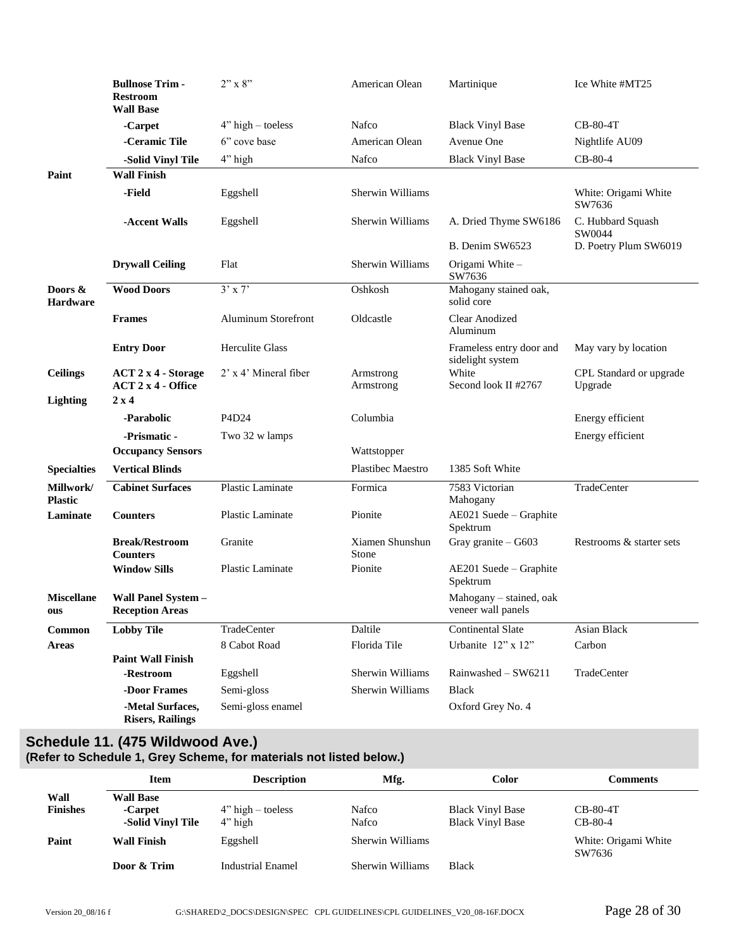|                             | <b>Bullnose Trim-</b><br><b>Restroom</b><br><b>Wall Base</b> | $2"$ x $8"$                | American Olean           | Martinique                                    | Ice White #MT25                    |
|-----------------------------|--------------------------------------------------------------|----------------------------|--------------------------|-----------------------------------------------|------------------------------------|
|                             | -Carpet                                                      | $4"$ high – toeless        | Nafco                    | <b>Black Vinyl Base</b>                       | $CB-80-4T$                         |
|                             | -Ceramic Tile                                                | 6" cove base               | American Olean           | Avenue One                                    | Nightlife AU09                     |
|                             | -Solid Vinyl Tile                                            | 4" high                    | Nafco                    | <b>Black Vinyl Base</b>                       | $CB-80-4$                          |
| Paint                       | <b>Wall Finish</b>                                           |                            |                          |                                               |                                    |
|                             | -Field                                                       | Eggshell                   | Sherwin Williams         |                                               | White: Origami White<br>SW7636     |
|                             | -Accent Walls                                                | Eggshell                   | Sherwin Williams         | A. Dried Thyme SW6186                         | C. Hubbard Squash<br>SW0044        |
|                             |                                                              |                            |                          | B. Denim SW6523                               | D. Poetry Plum SW6019              |
|                             | <b>Drywall Ceiling</b>                                       | Flat                       | Sherwin Williams         | Origami White -<br>SW7636                     |                                    |
| Doors &<br><b>Hardware</b>  | <b>Wood Doors</b>                                            | $3'$ x 7'                  | Oshkosh                  | Mahogany stained oak,<br>solid core           |                                    |
|                             | <b>Frames</b>                                                | <b>Aluminum Storefront</b> | Oldcastle                | <b>Clear Anodized</b><br>Aluminum             |                                    |
|                             | <b>Entry Door</b>                                            | <b>Herculite Glass</b>     |                          | Frameless entry door and<br>sidelight system  | May vary by location               |
| <b>Ceilings</b>             | <b>ACT 2 x 4 - Storage</b><br>$ACT 2 x 4 - Office$           | 2' x 4' Mineral fiber      | Armstrong<br>Armstrong   | White<br>Second look II #2767                 | CPL Standard or upgrade<br>Upgrade |
| <b>Lighting</b>             | $2 \times 4$                                                 |                            |                          |                                               |                                    |
|                             | -Parabolic                                                   | P4D <sub>24</sub>          | Columbia                 |                                               | Energy efficient                   |
|                             | -Prismatic -                                                 | Two 32 w lamps             |                          |                                               | Energy efficient                   |
|                             | <b>Occupancy Sensors</b>                                     |                            | Wattstopper              |                                               |                                    |
| <b>Specialties</b>          | <b>Vertical Blinds</b>                                       |                            | Plastibec Maestro        | 1385 Soft White                               |                                    |
| Millwork/<br><b>Plastic</b> | <b>Cabinet Surfaces</b>                                      | Plastic Laminate           | Formica                  | 7583 Victorian<br>Mahogany                    | TradeCenter                        |
| Laminate                    | <b>Counters</b>                                              | Plastic Laminate           | Pionite                  | AE021 Suede - Graphite<br>Spektrum            |                                    |
|                             | <b>Break/Restroom</b><br><b>Counters</b>                     | Granite                    | Xiamen Shunshun<br>Stone | Gray granite - G603                           | Restrooms & starter sets           |
|                             | <b>Window Sills</b>                                          | <b>Plastic Laminate</b>    | Pionite                  | AE201 Suede – Graphite<br>Spektrum            |                                    |
| <b>Miscellane</b><br>ous    | Wall Panel System -<br><b>Reception Areas</b>                |                            |                          | Mahogany – stained, oak<br>veneer wall panels |                                    |
| Common                      | <b>Lobby Tile</b>                                            | TradeCenter                | Daltile                  | <b>Continental Slate</b>                      | Asian Black                        |
| <b>Areas</b>                |                                                              | 8 Cabot Road               | Florida Tile             | Urbanite 12" x 12"                            | Carbon                             |
|                             | <b>Paint Wall Finish</b>                                     |                            |                          |                                               |                                    |
|                             | -Restroom                                                    | Eggshell                   | Sherwin Williams         | Rainwashed - SW6211                           | TradeCenter                        |
|                             | -Door Frames                                                 | Semi-gloss                 | Sherwin Williams         | <b>Black</b>                                  |                                    |
|                             | -Metal Surfaces,<br><b>Risers, Railings</b>                  | Semi-gloss enamel          |                          | Oxford Grey No. 4                             |                                    |

#### <span id="page-27-0"></span>**Schedule 11. (475 Wildwood Ave.) (Refer to Schedule 1, Grey Scheme, for materials not listed below.)**

|                         | <b>Item</b>                                      | <b>Description</b>                | Mfg.             | <b>Color</b>                                       | Comments                       |  |
|-------------------------|--------------------------------------------------|-----------------------------------|------------------|----------------------------------------------------|--------------------------------|--|
| Wall<br><b>Finishes</b> | <b>Wall Base</b><br>-Carpet<br>-Solid Vinyl Tile | $4"$ high – toeless<br>$4$ " high | Nafco<br>Nafco   | <b>Black Vinyl Base</b><br><b>Black Vinyl Base</b> | $CB-80-4T$<br>$CB-80-4$        |  |
| Paint                   | <b>Wall Finish</b>                               | Eggshell                          | Sherwin Williams |                                                    | White: Origami White<br>SW7636 |  |
|                         | Door & Trim                                      | <b>Industrial Enamel</b>          | Sherwin Williams | <b>Black</b>                                       |                                |  |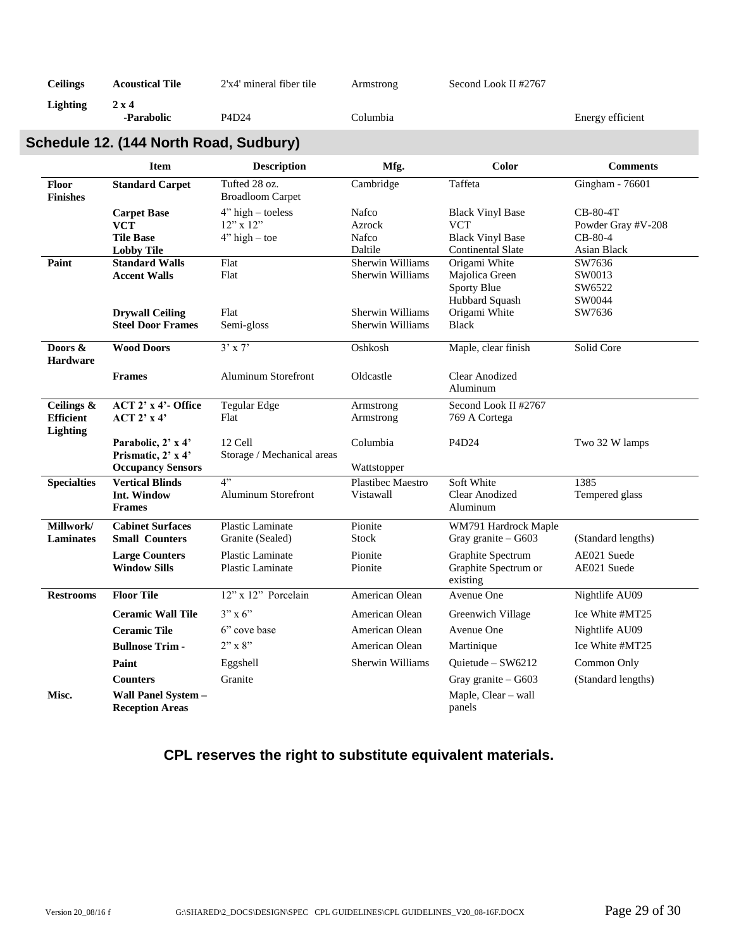| Ceilings | <b>Acoustical Tile</b> | $2'x4'$ mineral fiber tile | Armstrong | Second Look II #2767 |                  |
|----------|------------------------|----------------------------|-----------|----------------------|------------------|
| Lighting | $2 \times 4$           |                            |           |                      |                  |
|          | -Parabolic             | P4D24                      | Columbia- |                      | Energy efficient |

# <span id="page-28-0"></span>**Schedule 12. (144 North Road, Sudbury)**

|                                                   | <b>Item</b>                                                               | <b>Description</b>                                | Mfg.                                        | Color                                                                                        | <b>Comments</b>                                            |
|---------------------------------------------------|---------------------------------------------------------------------------|---------------------------------------------------|---------------------------------------------|----------------------------------------------------------------------------------------------|------------------------------------------------------------|
| Floor<br><b>Finishes</b>                          | <b>Standard Carpet</b>                                                    | Tufted 28 oz.<br><b>Broadloom Carpet</b>          | Cambridge                                   | Taffeta                                                                                      | Gingham - $76601$                                          |
|                                                   | <b>Carpet Base</b><br><b>VCT</b><br><b>Tile Base</b><br><b>Lobby Tile</b> | $4"$ high – toeless<br>12" x 12"<br>$4" high-toe$ | Nafco<br>Azrock<br><b>Nafco</b><br>Daltile  | <b>Black Vinyl Base</b><br><b>VCT</b><br><b>Black Vinyl Base</b><br><b>Continental Slate</b> | CB-80-4T<br>Powder Gray #V-208<br>$CB-80-4$<br>Asian Black |
| Paint                                             | <b>Standard Walls</b><br><b>Accent Walls</b>                              | Flat<br>Flat                                      | Sherwin Williams<br>Sherwin Williams        | Origami White<br>Majolica Green<br>Sporty Blue<br>Hubbard Squash                             | SW7636<br>SW0013<br>SW6522<br>SW0044                       |
|                                                   | <b>Drywall Ceiling</b><br><b>Steel Door Frames</b>                        | Flat<br>Semi-gloss                                | <b>Sherwin Williams</b><br>Sherwin Williams | Origami White<br><b>Black</b>                                                                | SW7636                                                     |
| Doors &<br><b>Hardware</b>                        | <b>Wood Doors</b>                                                         | $3'$ x 7'                                         | Oshkosh                                     | Maple, clear finish                                                                          | Solid Core                                                 |
|                                                   | <b>Frames</b>                                                             | <b>Aluminum Storefront</b>                        | Oldcastle                                   | <b>Clear Anodized</b><br>Aluminum                                                            |                                                            |
| Ceilings &<br><b>Efficient</b><br><b>Lighting</b> | $ACT 2' x 4'$ - Office<br>ACT 2' x 4'                                     | <b>Tegular Edge</b><br>Flat                       | Armstrong<br>Armstrong                      | Second Look II #2767<br>769 A Cortega                                                        |                                                            |
|                                                   | Parabolic, 2' x 4'<br>Prismatic, 2' x 4'<br><b>Occupancy Sensors</b>      | 12 Cell<br>Storage / Mechanical areas             | Columbia<br>Wattstopper                     | P4D24                                                                                        | Two 32 W lamps                                             |
| <b>Specialties</b>                                | <b>Vertical Blinds</b><br>Int. Window<br><b>Frames</b>                    | $4$ "<br><b>Aluminum Storefront</b>               | <b>Plastibec Maestro</b><br>Vistawall       | Soft White<br>Clear Anodized<br>Aluminum                                                     | 1385<br>Tempered glass                                     |
| Millwork/<br>Laminates                            | <b>Cabinet Surfaces</b><br><b>Small Counters</b>                          | Plastic Laminate<br>Granite (Sealed)              | Pionite<br>Stock                            | WM791 Hardrock Maple<br>Gray granite - G603                                                  | (Standard lengths)                                         |
|                                                   | <b>Large Counters</b><br><b>Window Sills</b>                              | Plastic Laminate<br>Plastic Laminate              | Pionite<br>Pionite                          | Graphite Spectrum<br>Graphite Spectrum or<br>existing                                        | AE021 Suede<br>AE021 Suede                                 |
| <b>Restrooms</b>                                  | <b>Floor Tile</b>                                                         | 12" x 12" Porcelain                               | American Olean                              | Avenue One                                                                                   | Nightlife AU09                                             |
|                                                   | <b>Ceramic Wall Tile</b>                                                  | $3" \times 6"$                                    | American Olean                              | Greenwich Village                                                                            | Ice White #MT25                                            |
|                                                   | <b>Ceramic Tile</b>                                                       | 6" cove base                                      | American Olean                              | Avenue One                                                                                   | Nightlife AU09                                             |
|                                                   | <b>Bullnose Trim-</b>                                                     | $2"$ x 8"                                         | American Olean                              | Martinique                                                                                   | Ice White #MT25                                            |
|                                                   | Paint                                                                     | Eggshell                                          | <b>Sherwin Williams</b>                     | Quietude - SW6212                                                                            | Common Only                                                |
|                                                   | <b>Counters</b>                                                           | Granite                                           |                                             | Gray granite - G603                                                                          | (Standard lengths)                                         |
| Misc.                                             | Wall Panel System -<br><b>Reception Areas</b>                             |                                                   |                                             | Maple, Clear - wall<br>panels                                                                |                                                            |

# **CPL reserves the right to substitute equivalent materials.**